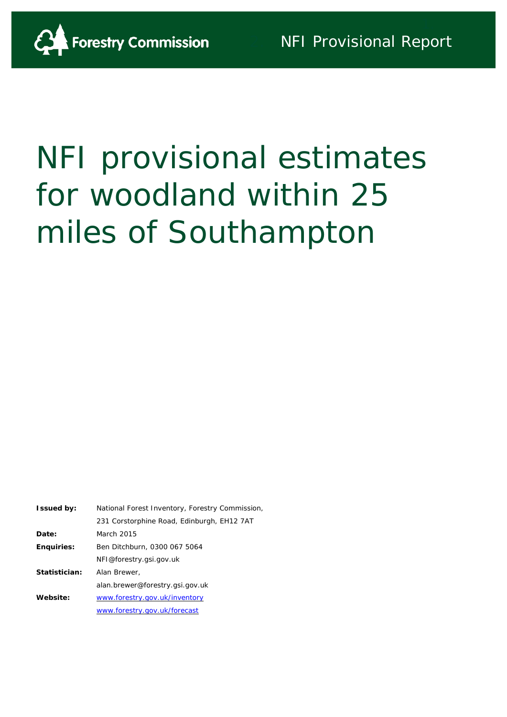

# NFI provisional estimates for woodland within 25 miles of Southampton

| <b>Issued by:</b> | National Forest Inventory, Forestry Commission |
|-------------------|------------------------------------------------|
|                   | 231 Corstorphine Road, Edinburgh, EH12 7AT     |
| Date:             | March 2015                                     |
| <b>Enquiries:</b> | Ben Ditchburn, 0300 067 5064                   |
|                   | NFI@forestry.gsi.gov.uk                        |
| Statistician:     | Alan Brewer,                                   |
|                   | alan.brewer@forestry.gsi.gov.uk                |
| Website:          | www.forestry.gov.uk/inventory                  |
|                   | www.forestry.gov.uk/forecast                   |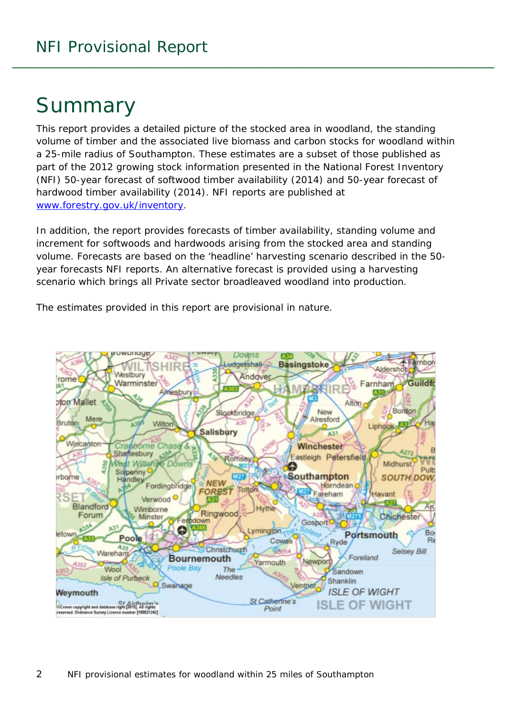# Summary

This report provides a detailed picture of the stocked area in woodland, the standing volume of timber and the associated live biomass and carbon stocks for woodland within a 25-mile radius of Southampton. These estimates are a subset of those published as part of the 2012 growing stock information presented in the National Forest Inventory (NFI) *50-year forecast of softwood timber availability* (2014) and *50-year forecast of hardwood timber availability* (2014). NFI reports are published at [www.forestry.gov.uk/inventory.](http://www.forestry.gov.uk/inventory)

In addition, the report provides forecasts of timber availability, standing volume and increment for softwoods and hardwoods arising from the stocked area and standing volume. Forecasts are based on the 'headline' harvesting scenario described in the 50 year forecasts NFI reports. An alternative forecast is provided using a harvesting scenario which brings all Private sector broadleaved woodland into production.

The estimates provided in this report are provisional in nature.

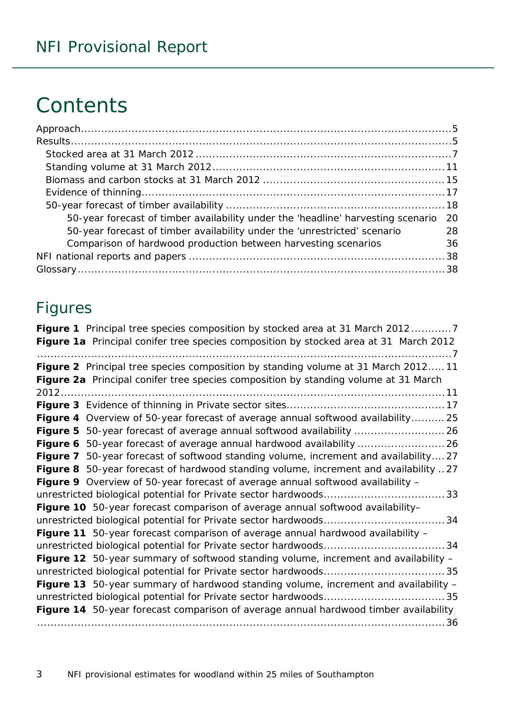# **Contents**

| 50-year forecast of timber availability under the 'headline' harvesting scenario | -20 |
|----------------------------------------------------------------------------------|-----|
| 50-year forecast of timber availability under the 'unrestricted' scenario        | 28  |
| Comparison of hardwood production between harvesting scenarios                   | 36  |
|                                                                                  |     |
|                                                                                  |     |

### Figures

| Figure 1 Principal tree species composition by stocked area at 31 March 20127         |
|---------------------------------------------------------------------------------------|
| Figure 1a Principal conifer tree species composition by stocked area at 31 March 2012 |
|                                                                                       |
| Figure 2 Principal tree species composition by standing volume at 31 March 201211     |
| Figure 2a Principal conifer tree species composition by standing volume at 31 March   |
|                                                                                       |
|                                                                                       |
| Figure 4 Overview of 50-year forecast of average annual softwood availability 25      |
|                                                                                       |
| Figure 6 50-year forecast of average annual hardwood availability  26                 |
| Figure 7 50-year forecast of softwood standing volume, increment and availability27   |
| Figure 8 50-year forecast of hardwood standing volume, increment and availability 27  |
| Figure 9 Overview of 50-year forecast of average annual softwood availability -       |
|                                                                                       |
| Figure 10 50-year forecast comparison of average annual softwood availability-        |
|                                                                                       |
| Figure 11 50-year forecast comparison of average annual hardwood availability -       |
|                                                                                       |
| Figure 12 50-year summary of softwood standing volume, increment and availability -   |
|                                                                                       |
| Figure 13 50-year summary of hardwood standing volume, increment and availability -   |
|                                                                                       |
| Figure 14 50-year forecast comparison of average annual hardwood timber availability  |
|                                                                                       |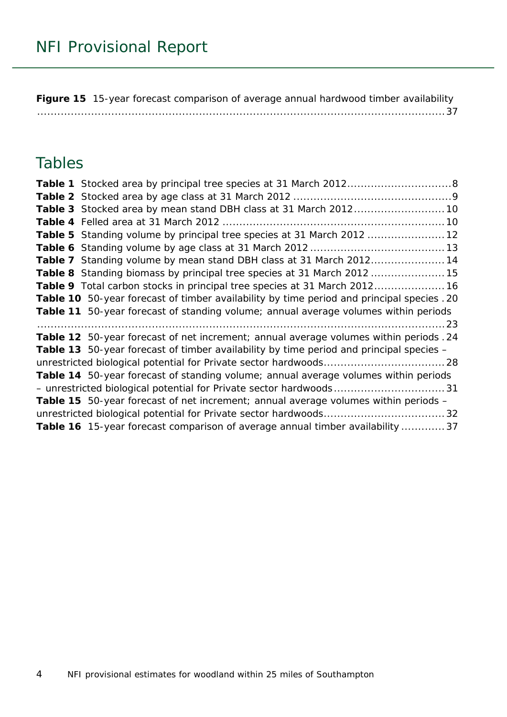**Figure 15** [15-year forecast comparison of average annual hardwood timber availability](#page-36-0) [.........................................................................................................................37](#page-36-0)

### Tables

| Table 5 Standing volume by principal tree species at 31 March 2012  12                         |  |
|------------------------------------------------------------------------------------------------|--|
|                                                                                                |  |
| Table 7 Standing volume by mean stand DBH class at 31 March 201214                             |  |
| Table 8 Standing biomass by principal tree species at 31 March 2012 15                         |  |
| Table 9 Total carbon stocks in principal tree species at 31 March 2012 16                      |  |
| Table 10 50-year forecast of timber availability by time period and principal species . 20     |  |
| Table 11 50-year forecast of standing volume; annual average volumes within periods            |  |
|                                                                                                |  |
| Table 12 50-year forecast of net increment; annual average volumes within periods . 24         |  |
| <b>Table 13</b> 50-year forecast of timber availability by time period and principal species – |  |
|                                                                                                |  |
| Table 14 50-year forecast of standing volume; annual average volumes within periods            |  |
|                                                                                                |  |
|                                                                                                |  |
| <b>Table 15</b> 50-year forecast of net increment; annual average volumes within periods -     |  |
|                                                                                                |  |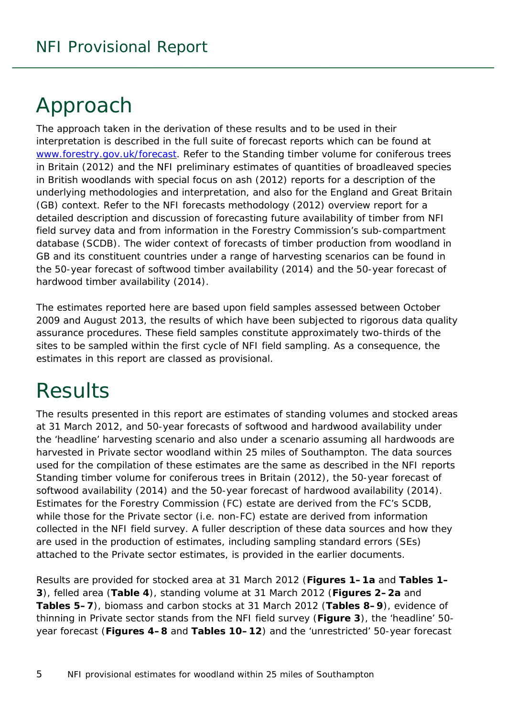# <span id="page-4-0"></span>Approach

The approach taken in the derivation of these results and to be used in their interpretation is described in the full suite of forecast reports which can be found at [www.forestry.gov.uk/forecast.](http://www.forestry.gov.uk/forecast) Refer to the *Standing timber volume for coniferous trees in Britain* (2012) and the *NFI preliminary estimates of quantities of broadleaved species in British woodlands with special focus on ash* (2012) reports for a description of the underlying methodologies and interpretation, and also for the England and Great Britain (GB) context. Refer to the *NFI forecasts methodology* (2012) overview report for a detailed description and discussion of forecasting future availability of timber from NFI field survey data and from information in the Forestry Commission's sub-compartment database (SCDB). The wider context of forecasts of timber production from woodland in GB and its constituent countries under a range of harvesting scenarios can be found in the *50-year forecast of softwood timber availability* (2014) and the *50-year forecast of hardwood timber availability* (2014).

The estimates reported here are based upon field samples assessed between October 2009 and August 2013, the results of which have been subjected to rigorous data quality assurance procedures. These field samples constitute approximately two-thirds of the sites to be sampled within the first cycle of NFI field sampling. As a consequence, the estimates in this report are classed as provisional.

# <span id="page-4-1"></span>**Results**

The results presented in this report are estimates of standing volumes and stocked areas at 31 March 2012, and 50-year forecasts of softwood and hardwood availability under the 'headline' harvesting scenario and also under a scenario assuming all hardwoods are harvested in Private sector woodland within 25 miles of Southampton. The data sources used for the compilation of these estimates are the same as described in the NFI reports *Standing timber volume for coniferous trees in Britain* (2012), the *50-year forecast of softwood availability* (2014) and the *50-year forecast of hardwood availability* (2014). Estimates for the Forestry Commission (FC) estate are derived from the FC's SCDB, while those for the Private sector (i.e. non-FC) estate are derived from information collected in the NFI field survey. A fuller description of these data sources and how they are used in the production of estimates, including sampling standard errors (SEs) attached to the Private sector estimates, is provided in the earlier documents.

Results are provided for stocked area at 31 March 2012 (**Figures 1–1a** and **Tables 1– 3**), felled area (**Table 4**), standing volume at 31 March 2012 (**Figures 2–2a** and **Tables 5–7**), biomass and carbon stocks at 31 March 2012 (**Tables 8–9**), evidence of thinning in Private sector stands from the NFI field survey (**Figure 3**), the 'headline' 50 year forecast (**Figures 4–8** and **Tables 10–12**) and the 'unrestricted' 50-year forecast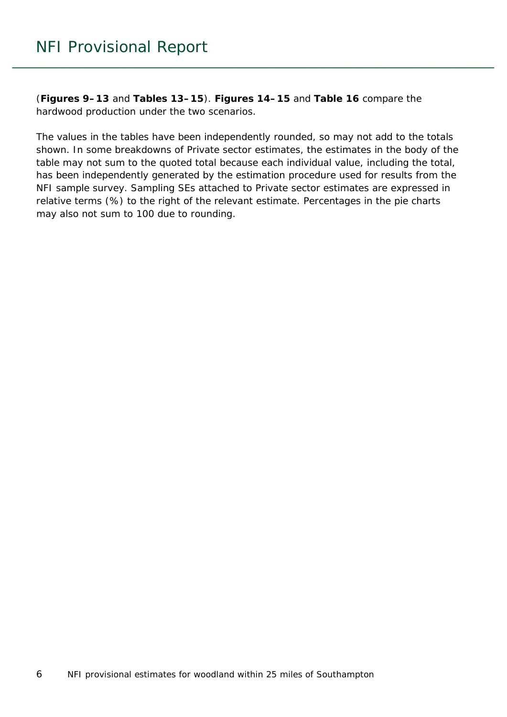(**Figures 9–13** and **Tables 13–15**). **Figures 14–15** and **Table 16** compare the hardwood production under the two scenarios.

The values in the tables have been independently rounded, so may not add to the totals shown. In some breakdowns of Private sector estimates, the estimates in the body of the table may not sum to the quoted total because each individual value, including the total, has been independently generated by the estimation procedure used for results from the NFI sample survey. Sampling SEs attached to Private sector estimates are expressed in relative terms (%) to the right of the relevant estimate. Percentages in the pie charts may also not sum to 100 due to rounding.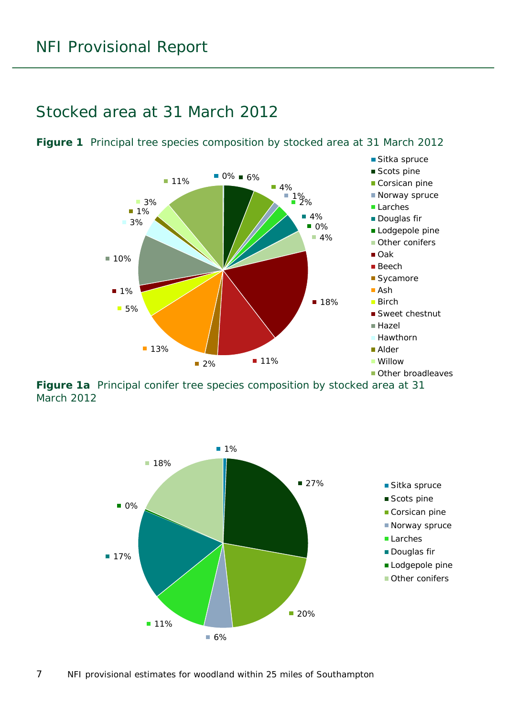### <span id="page-6-0"></span>Stocked area at 31 March 2012



<span id="page-6-1"></span>**Figure 1** Principal tree species composition by stocked area at 31 March 2012

<span id="page-6-2"></span>**Figure 1a** Principal conifer tree species composition by stocked area at 31 March 2012

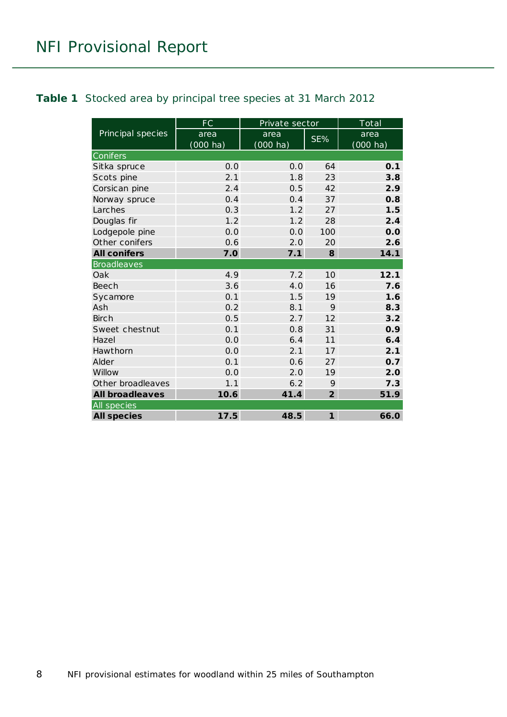#### <span id="page-7-0"></span>**Table 1** Stocked area by principal tree species at 31 March 2012

|                        | FC                 | Private sector     |                | Total    |
|------------------------|--------------------|--------------------|----------------|----------|
| Principal species      | area               | area               | SE%            | area     |
|                        | $(000 \text{ ha})$ | $(000 \text{ ha})$ |                | (000 ha) |
| Conifers               |                    |                    |                |          |
| Sitka spruce           | 0.0                | 0.0                | 64             | 0.1      |
| Scots pine             | 2.1                | 1.8                | 23             | 3.8      |
| Corsican pine          | 2.4                | 0.5                | 42             | 2.9      |
| Norway spruce          | 0.4                | 0.4                | 37             | 0.8      |
| Larches                | 0.3                | 1.2                | 27             | 1.5      |
| Douglas fir            | 1.2                | 1.2                | 28             | 2.4      |
| Lodgepole pine         | 0.0                | 0.0                | 100            | 0.0      |
| Other conifers         | 0.6                | 2.0                | 20             | 2.6      |
| <b>All conifers</b>    | 7.0                | 7.1                | 8              | 14.1     |
| <b>Broadleaves</b>     |                    |                    |                |          |
| Oak                    | 4.9                | 7.2                | 10             | 12.1     |
| <b>Beech</b>           | 3.6                | 4.0                | 16             | 7.6      |
| Sycamore               | 0.1                | 1.5                | 19             | 1.6      |
| Ash                    | 0.2                | 8.1                | 9              | 8.3      |
| Birch                  | 0.5                | 2.7                | 12             | 3.2      |
| Sweet chestnut         | 0.1                | 0.8                | 31             | 0.9      |
| Hazel                  | 0.0                | 6.4                | 11             | 6.4      |
| Hawthorn               | 0.0                | 2.1                | 17             | 2.1      |
| Alder                  | 0.1                | 0.6                | 27             | 0.7      |
| Willow                 | 0.0                | 2.0                | 19             | 2.0      |
| Other broadleaves      | 1.1                | 6.2                | 9              | 7.3      |
| <b>All broadleaves</b> | 10.6               | 41.4               | $\overline{2}$ | 51.9     |
| All species            |                    |                    |                |          |
| <b>All species</b>     | 17.5               | 48.5               | $\mathbf{1}$   | 66.0     |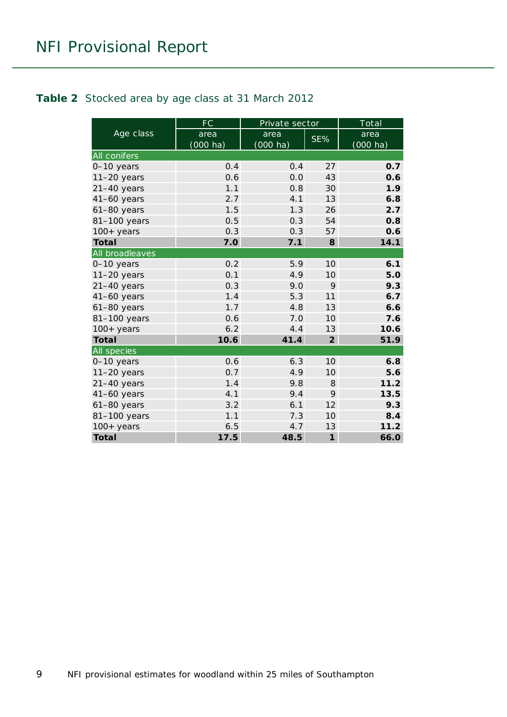#### <span id="page-8-0"></span>**Table 2** Stocked area by age class at 31 March 2012

|                     | FC                 | Private sector |                 | Total    |
|---------------------|--------------------|----------------|-----------------|----------|
| Age class           | area               | area           | SE%             | area     |
|                     | $(000 \text{ ha})$ | $(000$ ha)     |                 | (000 ha) |
| <b>All conifers</b> |                    |                |                 |          |
| 0-10 years          | 0.4                | 0.4            | 27              | 0.7      |
| $11-20$ years       | 0.6                | 0.0            | 43              | 0.6      |
| $21-40$ years       | 1.1                | 0.8            | 30              | 1.9      |
| $41-60$ years       | 2.7                | 4.1            | 13              | 6.8      |
| $61-80$ years       | 1.5                | 1.3            | 26              | 2.7      |
| 81-100 years        | 0.5                | 0.3            | 54              | 0.8      |
| $100+$ years        | 0.3                | 0.3            | 57              | 0.6      |
| <b>Total</b>        | 7.0                | 7.1            | 8               | 14.1     |
| All broadleaves     |                    |                |                 |          |
| 0-10 years          | 0.2                | 5.9            | 10 <sup>1</sup> | 6.1      |
| $11-20$ years       | 0.1                | 4.9            | 10              | 5.0      |
| $21-40$ years       | 0.3                | 9.0            | 9               | 9.3      |
| $41-60$ years       | 1.4                | 5.3            | 11              | 6.7      |
| $61-80$ years       | 1.7                | 4.8            | 13              | 6.6      |
| 81-100 years        | 0.6                | 7.0            | 10              | 7.6      |
| $100+$ years        | 6.2                | 4.4            | 13              | 10.6     |
| <b>Total</b>        | 10.6               | 41.4           | $\overline{2}$  | 51.9     |
| All species         |                    |                |                 |          |
| 0-10 years          | 0.6                | 6.3            | 10 <sup>1</sup> | 6.8      |
| $11-20$ years       | 0.7                | 4.9            | 10 <sup>1</sup> | 5.6      |
| $21-40$ years       | 1.4                | 9.8            | 8               | 11.2     |
| $41-60$ years       | 4.1                | 9.4            | 9               | 13.5     |
| 61-80 years         | 3.2                | 6.1            | 12              | 9.3      |
| 81-100 years        | 1.1                | 7.3            | 10 <sup>°</sup> | 8.4      |
| $100+$ years        | 6.5                | 4.7            | 13              | 11.2     |
| <b>Total</b>        | 17.5               | 48.5           | $\mathbf{1}$    | 66.0     |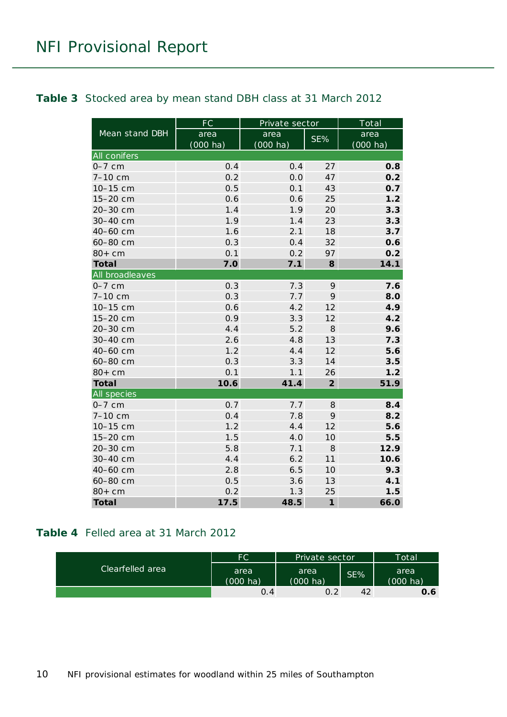#### <span id="page-9-0"></span>**Table 3** Stocked area by mean stand DBH class at 31 March 2012

|                     | <b>FC</b>          | Private sector     |                | Total              |
|---------------------|--------------------|--------------------|----------------|--------------------|
| Mean stand DBH      | area               | area               | SE%            | area               |
|                     | $(000 \text{ ha})$ | $(000 \text{ ha})$ |                | $(000 \text{ ha})$ |
| <b>All conifers</b> |                    |                    |                |                    |
| $0-7$ cm            | 0.4                | 0.4                | 27             | 0.8                |
| 7-10 cm             | 0.2                | 0.0                | 47             | 0.2                |
| 10-15 cm            | 0.5                | 0.1                | 43             | 0.7                |
| 15-20 cm            | 0.6                | 0.6                | 25             | 1.2                |
| 20-30 cm            | 1.4                | 1.9                | 20             | 3.3                |
| 30-40 cm            | 1.9                | 1.4                | 23             | 3.3                |
| 40-60 cm            | 1.6                | 2.1                | 18             | 3.7                |
| 60-80 cm            | 0.3                | 0.4                | 32             | 0.6                |
| $80+cm$             | 0.1                | 0.2                | 97             | 0.2                |
| <b>Total</b>        | 7.0                | 7.1                | 8              | 14.1               |
| All broadleaves     |                    |                    |                |                    |
| $0-7$ cm            | 0.3                | 7.3                | 9              | 7.6                |
| 7-10 cm             | 0.3                | 7.7                | 9              | 8.0                |
| 10-15 cm            | 0.6                | 4.2                | 12             | 4.9                |
| 15-20 cm            | 0.9                | 3.3                | 12             | 4.2                |
| 20-30 cm            | 4.4                | 5.2                | 8              | 9.6                |
| 30-40 cm            | 2.6                | 4.8                | 13             | 7.3                |
| 40-60 cm            | 1.2                | 4.4                | 12             | 5.6                |
| 60-80 cm            | 0.3                | 3.3                | 14             | 3.5                |
| $80+cm$             | 0.1                | 1.1                | 26             | 1.2                |
| <b>Total</b>        | 10.6               | 41.4               | $\overline{2}$ | 51.9               |
| All species         |                    |                    |                |                    |
| $0-7$ cm            | 0.7                | 7.7                | 8              | 8.4                |
| 7-10 cm             | 0.4                | 7.8                | 9              | 8.2                |
| 10-15 cm            | 1.2                | 4.4                | 12             | 5.6                |
| 15-20 cm            | 1.5                | 4.0                | 10             | 5.5                |
| 20-30 cm            | 5.8                | 7.1                | 8              | 12.9               |
| 30-40 cm            | 4.4                | 6.2                | 11             | 10.6               |
| 40-60 cm            | 2.8                | 6.5                | 10             | 9.3                |
| 60-80 cm            | 0.5                | 3.6                | 13             | 4.1                |
| $80+cm$             | 0.2                | 1.3                | 25             | 1.5                |
| <b>Total</b>        | 17.5               | 48.5               | $\mathbf{1}$   | 66.0               |

#### <span id="page-9-1"></span>**Table 4** Felled area at 31 March 2012

|                  | FC               | Private sector             |     | Total            |
|------------------|------------------|----------------------------|-----|------------------|
| Clearfelled area | area<br>(000 ha) | area<br>$(000 \text{ ha})$ | SE% | area<br>(000 ha) |
|                  | 0.4              | 0.2                        | 42  | 0.6              |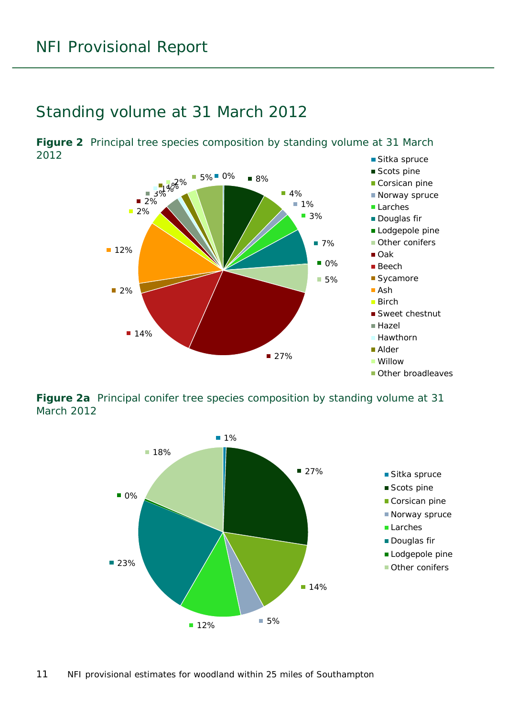### <span id="page-10-0"></span>Standing volume at 31 March 2012

<span id="page-10-1"></span>■ Sitka spruce **Figure 2** Principal tree species composition by standing volume at 31 March 2012



<span id="page-10-2"></span>**Figure 2a** Principal conifer tree species composition by standing volume at 31 March 2012

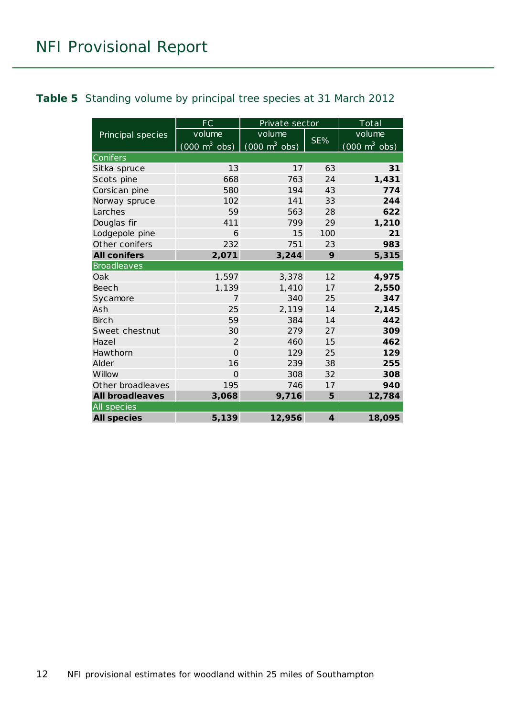#### <span id="page-11-0"></span>**Table 5** Standing volume by principal tree species at 31 March 2012

|                        | <b>FC</b>                       | Private sector                      |                | Total                               |
|------------------------|---------------------------------|-------------------------------------|----------------|-------------------------------------|
| Principal species      | volume                          | volume                              |                | volume                              |
|                        | $(000 \text{ m}^3 \text{ obs})$ | $(000 \; \text{m}^3 \; \text{obs})$ | SE%            | $(000 \; \text{m}^3 \; \text{obs})$ |
| Conifers               |                                 |                                     |                |                                     |
| Sitka spruce           | 13                              | 17                                  | 63             | 31                                  |
| Scots pine             | 668                             | 763                                 | 24             | 1,431                               |
| Corsican pine          | 580                             | 194                                 | 43             | 774                                 |
| Norway spruce          | 102                             | 141                                 | 33             | 244                                 |
| Larches                | 59                              | 563                                 | 28             | 622                                 |
| Douglas fir            | 411                             | 799                                 | 29             | 1,210                               |
| Lodgepole pine         | 6                               | 15                                  | 100            | 21                                  |
| Other conifers         | 232                             | 751                                 | 23             | 983                                 |
| <b>All conifers</b>    | 2,071                           | 3,244                               | 9              | 5,315                               |
| <b>Broadleaves</b>     |                                 |                                     |                |                                     |
| Oak                    | 1,597                           | 3,378                               | 12             | 4,975                               |
| <b>Beech</b>           | 1,139                           | 1,410                               | 17             | 2,550                               |
| Sycamore               | 7                               | 340                                 | 25             | 347                                 |
| Ash                    | 25                              | 2,119                               | 14             | 2,145                               |
| <b>Birch</b>           | 59                              | 384                                 | 14             | 442                                 |
| Sweet chestnut         | 30                              | 279                                 | 27             | 309                                 |
| Hazel                  | 2                               | 460                                 | 15             | 462                                 |
| Hawthorn               | $\Omega$                        | 129                                 | 25             | 129                                 |
| Alder                  | 16                              | 239                                 | 38             | 255                                 |
| Willow                 | $\Omega$                        | 308                                 | 32             | 308                                 |
| Other broadleaves      | 195                             | 746                                 | 17             | 940                                 |
| <b>All broadleaves</b> | 3,068                           | 9,716                               | 5              | 12,784                              |
| All species            |                                 |                                     |                |                                     |
| <b>All species</b>     | 5,139                           | 12,956                              | $\overline{4}$ | 18,095                              |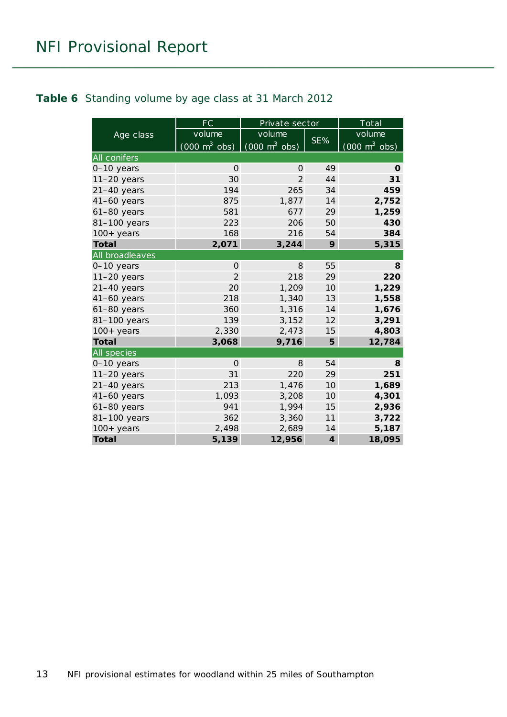#### <span id="page-12-0"></span>**Table 6** Standing volume by age class at 31 March 2012

|                     | FC                              | Private sector                  |                 | Total                           |
|---------------------|---------------------------------|---------------------------------|-----------------|---------------------------------|
| Age class           | volume                          | volume                          |                 | volume                          |
|                     | $(000 \text{ m}^3 \text{ obs})$ | $(000 \text{ m}^3 \text{ obs})$ | SE%             | $(000 \text{ m}^3 \text{ obs})$ |
| <b>All conifers</b> |                                 |                                 |                 |                                 |
| 0-10 years          | $\Omega$                        | 0                               | 49              | 0                               |
| $11-20$ years       | 30                              | $\overline{2}$                  | 44              | 31                              |
| $21-40$ years       | 194                             | 265                             | 34              | 459                             |
| $41-60$ years       | 875                             | 1,877                           | 14              | 2,752                           |
| $61-80$ years       | 581                             | 677                             | 29              | 1,259                           |
| 81-100 years        | 223                             | 206                             | 50              | 430                             |
| $100+$ years        | 168                             | 216                             | 54              | 384                             |
| <b>Total</b>        | 2,071                           | 3,244                           | 9               | 5,315                           |
| All broadleaves     |                                 |                                 |                 |                                 |
| 0-10 years          | $\Omega$                        | 8                               | 55              | 8                               |
| $11-20$ years       | $\overline{2}$                  | 218                             | 29              | 220                             |
| $21-40$ years       | 20                              | 1,209                           | 10 <sup>1</sup> | 1,229                           |
| $41-60$ years       | 218                             | 1,340                           | 13              | 1,558                           |
| 61-80 years         | 360                             | 1,316                           | 14              | 1,676                           |
| 81-100 years        | 139                             | 3,152                           | 12              | 3,291                           |
| $100+years$         | 2,330                           | 2,473                           | 15              | 4,803                           |
| <b>Total</b>        | 3,068                           | 9,716                           | 5               | 12,784                          |
| All species         |                                 |                                 |                 |                                 |
| 0-10 years          | $\Omega$                        | 8                               | 54              | 8                               |
| $11-20$ years       | 31                              | 220                             | 29              | 251                             |
| $21-40$ years       | 213                             | 1,476                           | 10              | 1,689                           |
| $41-60$ years       | 1,093                           | 3,208                           | 10              | 4,301                           |
| 61-80 years         | 941                             | 1,994                           | 15              | 2,936                           |
| 81-100 years        | 362                             | 3,360                           | 11              | 3,722                           |
| $100+years$         | 2,498                           | 2,689                           | 14              | 5,187                           |
| <b>Total</b>        | 5,139                           | 12,956                          | $\overline{4}$  | 18,095                          |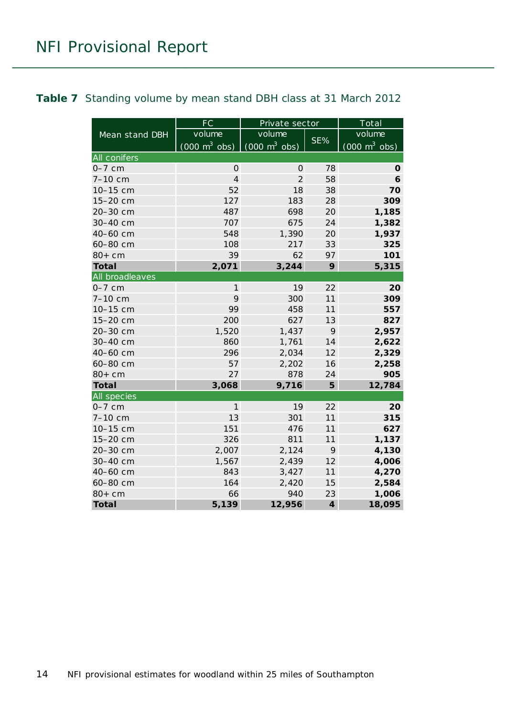#### <span id="page-13-0"></span>**Table 7** Standing volume by mean stand DBH class at 31 March 2012

|                     | <b>FC</b>                       | Private sector                  |                | Total                           |
|---------------------|---------------------------------|---------------------------------|----------------|---------------------------------|
| Mean stand DBH      | volume                          | volume                          |                | volume                          |
|                     | $(000 \text{ m}^3 \text{ obs})$ | $(000 \text{ m}^3 \text{ obs})$ | SE%            | $(000 \text{ m}^3 \text{ obs})$ |
| <b>All conifers</b> |                                 |                                 |                |                                 |
| $0-7$ cm            | $\Omega$                        | 0                               | 78             | 0                               |
| 7-10 cm             | $\overline{4}$                  | $\overline{2}$                  | 58             | 6                               |
| 10-15 cm            | 52                              | 18                              | 38             | 70                              |
| 15-20 cm            | 127                             | 183                             | 28             | 309                             |
| 20-30 cm            | 487                             | 698                             | 20             | 1,185                           |
| 30-40 cm            | 707                             | 675                             | 24             | 1,382                           |
| 40-60 cm            | 548                             | 1,390                           | 20             | 1,937                           |
| 60-80 cm            | 108                             | 217                             | 33             | 325                             |
| $80+cm$             | 39                              | 62                              | 97             | 101                             |
| <b>Total</b>        | 2,071                           | 3,244                           | 9              | 5,315                           |
| All broadleaves     |                                 |                                 |                |                                 |
| $0-7$ cm            | $\mathbf{1}$                    | 19                              | 22             | 20                              |
| 7-10 cm             | 9                               | 300                             | 11             | 309                             |
| 10-15 cm            | 99                              | 458                             | 11             | 557                             |
| 15-20 cm            | 200                             | 627                             | 13             | 827                             |
| 20-30 cm            | 1,520                           | 1,437                           | 9              | 2,957                           |
| 30-40 cm            | 860                             | 1,761                           | 14             | 2,622                           |
| 40-60 cm            | 296                             | 2,034                           | 12             | 2,329                           |
| 60-80 cm            | 57                              | 2,202                           | 16             | 2,258                           |
| $80+cm$             | 27                              | 878                             | 24             | 905                             |
| <b>Total</b>        | 3,068                           | 9,716                           | 5              | 12,784                          |
| <b>All species</b>  |                                 |                                 |                |                                 |
| $0-7$ cm            | 1                               | 19                              | 22             | 20                              |
| 7-10 cm             | 13                              | 301                             | 11             | 315                             |
| 10-15 cm            | 151                             | 476                             | 11             | 627                             |
| 15-20 cm            | 326                             | 811                             | 11             | 1,137                           |
| 20-30 cm            | 2,007                           | 2,124                           | 9              | 4,130                           |
| 30-40 cm            | 1,567                           | 2,439                           | 12             | 4,006                           |
| 40-60 cm            | 843                             | 3,427                           | 11             | 4,270                           |
| 60-80 cm            | 164                             | 2,420                           | 15             | 2,584                           |
| $80+cm$             | 66                              | 940                             | 23             | 1,006                           |
| <b>Total</b>        | 5,139                           | 12,956                          | $\overline{4}$ | 18,095                          |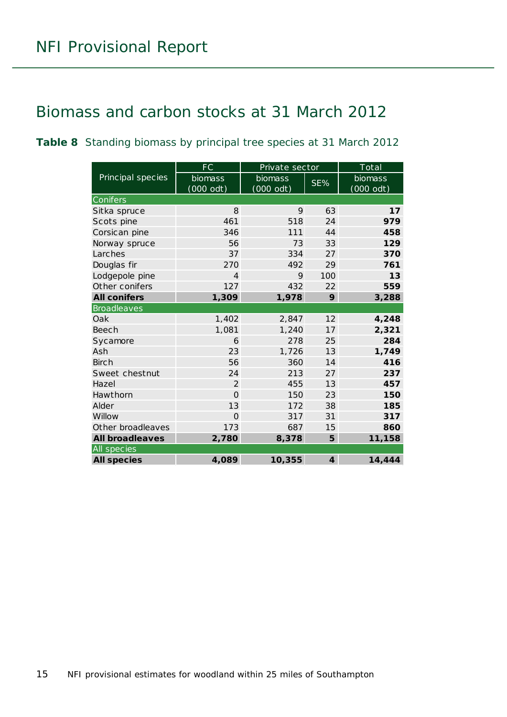### <span id="page-14-0"></span>Biomass and carbon stocks at 31 March 2012

<span id="page-14-1"></span>**Table 8** Standing biomass by principal tree species at 31 March 2012

|                        | FC             | Private sector |                         | Total     |
|------------------------|----------------|----------------|-------------------------|-----------|
| Principal species      | biomass        | biomass        | SE%                     | biomass   |
|                        | (000 odt)      | $(000$ odt)    |                         | (000 odt) |
| Conifers               |                |                |                         |           |
| Sitka spruce           | 8              | 9              | 63                      | 17        |
| Scots pine             | 461            | 518            | 24                      | 979       |
| Corsican pine          | 346            | 111            | 44                      | 458       |
| Norway spruce          | 56             | 73             | 33                      | 129       |
| Larches                | 37             | 334            | 27                      | 370       |
| Douglas fir            | 270            | 492            | 29                      | 761       |
| Lodgepole pine         | 4              | 9              | 100                     | 13        |
| Other conifers         | 127            | 432            | 22                      | 559       |
| <b>All conifers</b>    | 1,309          | 1,978          | 9                       | 3,288     |
| <b>Broadleaves</b>     |                |                |                         |           |
| Oak                    | 1,402          | 2,847          | 12                      | 4,248     |
| <b>Beech</b>           | 1,081          | 1,240          | 17                      | 2,321     |
| Sycamore               | 6              | 278            | 25                      | 284       |
| Ash                    | 23             | 1,726          | 13                      | 1,749     |
| <b>Birch</b>           | 56             | 360            | 14                      | 416       |
| Sweet chestnut         | 24             | 213            | 27                      | 237       |
| Hazel                  | 2              | 455            | 13                      | 457       |
| Hawthorn               | $\overline{O}$ | 150            | 23                      | 150       |
| Alder                  | 13             | 172            | 38                      | 185       |
| Willow                 | $\Omega$       | 317            | 31                      | 317       |
| Other broadleaves      | 173            | 687            | 15                      | 860       |
| <b>All broadleaves</b> | 2,780          | 8,378          | 5                       | 11,158    |
| All species            |                |                |                         |           |
| <b>All species</b>     | 4,089          | 10,355         | $\overline{\mathbf{4}}$ | 14,444    |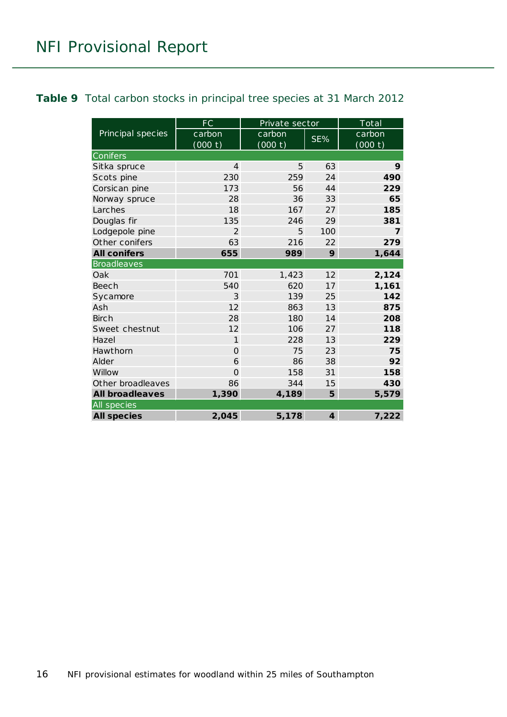#### <span id="page-15-0"></span>**Table 9** Total carbon stocks in principal tree species at 31 March 2012

|                        | FC             | Private sector |                         | Total   |  |
|------------------------|----------------|----------------|-------------------------|---------|--|
| Principal species      | carbon         | carbon         | SE%                     | carbon  |  |
|                        | (000 t)        | (000 t)        |                         | (000 t) |  |
| Conifers               |                |                |                         |         |  |
| Sitka spruce           | $\overline{4}$ | 5              | 63                      | 9       |  |
| Scots pine             | 230            | 259            | 24                      | 490     |  |
| Corsican pine          | 173            | 56             | 44                      | 229     |  |
| Norway spruce          | 28             | 36             | 33                      | 65      |  |
| Larches                | 18             | 167            | 27                      | 185     |  |
| Douglas fir            | 135            | 246            | 29                      | 381     |  |
| Lodgepole pine         | $\overline{2}$ | 5              | 100                     | 7       |  |
| Other conifers         | 63             | 216            | 22                      | 279     |  |
| <b>All conifers</b>    | 655            | 989            | 9                       | 1,644   |  |
| <b>Broadleaves</b>     |                |                |                         |         |  |
| Oak                    | 701            | 1,423          | 12                      | 2,124   |  |
| <b>Beech</b>           | 540            | 620            | 17                      | 1,161   |  |
| Sycamore               | 3              | 139            | 25                      | 142     |  |
| Ash                    | 12             | 863            | 13                      | 875     |  |
| <b>Birch</b>           | 28             | 180            | 14                      | 208     |  |
| Sweet chestnut         | 12             | 106            | 27                      | 118     |  |
| Hazel                  | $\mathbf{1}$   | 228            | 13                      | 229     |  |
| Hawthorn               | $\Omega$       | 75             | 23                      | 75      |  |
| Alder                  | 6              | 86             | 38                      | 92      |  |
| Willow                 | $\overline{O}$ | 158            | 31                      | 158     |  |
| Other broadleaves      | 86             | 344            | 15                      | 430     |  |
| <b>All broadleaves</b> | 1,390          | 4,189          | 5                       | 5,579   |  |
| All species            |                |                |                         |         |  |
| <b>All species</b>     | 2,045          | 5,178          | $\overline{\mathbf{4}}$ | 7,222   |  |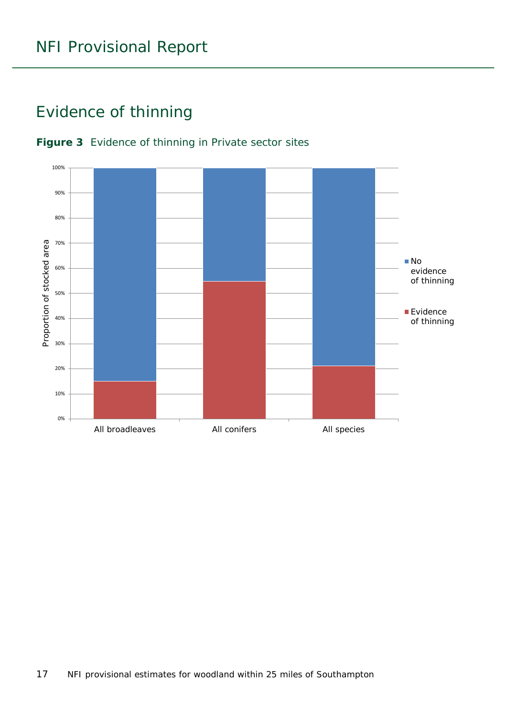### <span id="page-16-0"></span>Evidence of thinning



#### <span id="page-16-1"></span>**Figure 3** Evidence of thinning in Private sector sites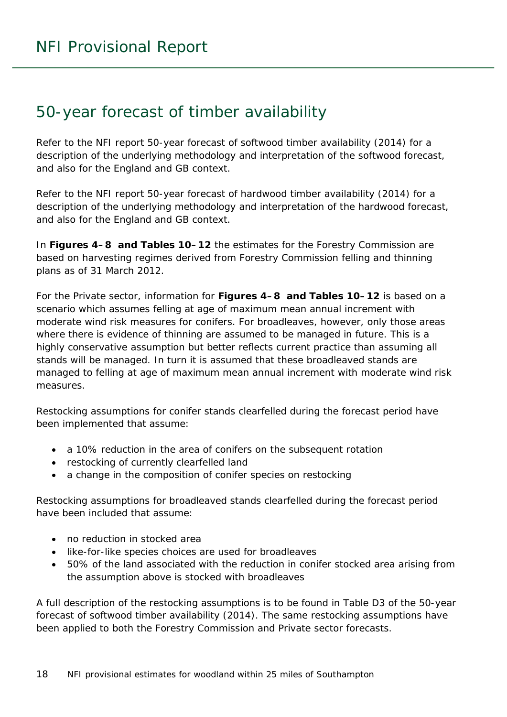### <span id="page-17-0"></span>50-year forecast of timber availability

Refer to the NFI report *50-year forecast of softwood timber availability* (2014) for a description of the underlying methodology and interpretation of the softwood forecast, and also for the England and GB context.

Refer to the NFI report *50-year forecast of hardwood timber availability* (2014) for a description of the underlying methodology and interpretation of the hardwood forecast, and also for the England and GB context.

In **Figures 4–8 and Tables 10–12** the estimates for the Forestry Commission are based on harvesting regimes derived from Forestry Commission felling and thinning plans as of 31 March 2012.

For the Private sector, information for **Figures 4–8 and Tables 10–12** is based on a scenario which assumes felling at age of maximum mean annual increment with moderate wind risk measures for conifers. For broadleaves, however, only those areas where there is evidence of thinning are assumed to be managed in future. This is a highly conservative assumption but better reflects current practice than assuming all stands will be managed. In turn it is assumed that these broadleaved stands are managed to felling at age of maximum mean annual increment with moderate wind risk measures.

Restocking assumptions for conifer stands clearfelled during the forecast period have been implemented that assume:

- a 10% reduction in the area of conifers on the subsequent rotation
- restocking of currently clearfelled land
- a change in the composition of conifer species on restocking

Restocking assumptions for broadleaved stands clearfelled during the forecast period have been included that assume:

- no reduction in stocked area
- like-for-like species choices are used for broadleaves
- 50% of the land associated with the reduction in conifer stocked area arising from the assumption above is stocked with broadleaves

A full description of the restocking assumptions is to be found in Table D3 of the *50-year forecast of softwood timber availability* (2014). The same restocking assumptions have been applied to both the Forestry Commission and Private sector forecasts.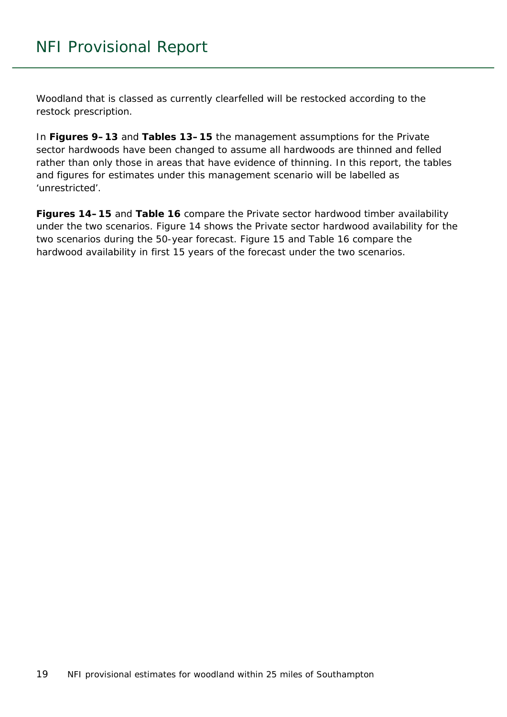Woodland that is classed as currently clearfelled will be restocked according to the restock prescription.

In **Figures 9–13** and **Tables 13–15** the management assumptions for the Private sector hardwoods have been changed to assume all hardwoods are thinned and felled rather than only those in areas that have evidence of thinning. In this report, the tables and figures for estimates under this management scenario will be labelled as 'unrestricted'.

**Figures 14–15** and **Table 16** compare the Private sector hardwood timber availability under the two scenarios. Figure 14 shows the Private sector hardwood availability for the two scenarios during the 50-year forecast. Figure 15 and Table 16 compare the hardwood availability in first 15 years of the forecast under the two scenarios.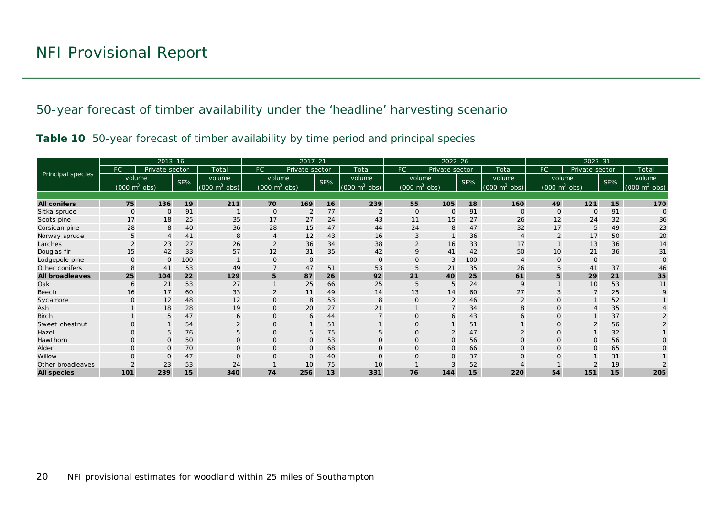50-year forecast of timber availability under the 'headline' harvesting scenario

|  |  |  |  |  |  | Table 10 50-year forecast of timber availability by time period and principal species |
|--|--|--|--|--|--|---------------------------------------------------------------------------------------|
|--|--|--|--|--|--|---------------------------------------------------------------------------------------|

<span id="page-19-1"></span><span id="page-19-0"></span>

|                        |                                 | $2013 - 16$    |     |                                 | $2017 - 21$                         |                |     | $2022 - 26$                 |                                 |                |     | $2027 - 31$                     |                |                                 |     |                                 |
|------------------------|---------------------------------|----------------|-----|---------------------------------|-------------------------------------|----------------|-----|-----------------------------|---------------------------------|----------------|-----|---------------------------------|----------------|---------------------------------|-----|---------------------------------|
|                        | FC.                             | Private sector |     | Total                           | FC                                  | Private sector |     | Total                       | FC                              | Private sector |     | Total                           | FC             | Private sector                  |     | Total                           |
| Principal species      | volume                          |                | SE% | volume                          | volume                              |                | SE% | volume                      | volume                          |                | SE% | volume                          |                | volume                          | SE% | volume                          |
|                        | $(000 \text{ m}^3 \text{ obs})$ |                |     | $(000 \text{ m}^3 \text{ obs})$ | $(000 \; \text{m}^3 \; \text{obs})$ |                |     | $(000 \text{ m}^3)$<br>obs) | $(000 \text{ m}^3 \text{ obs})$ |                |     | $(000 \text{ m}^3 \text{ obs})$ |                | $(000 \text{ m}^3 \text{ obs})$ |     | $(000 \text{ m}^3 \text{ obs})$ |
|                        |                                 |                |     |                                 |                                     |                |     |                             |                                 |                |     |                                 |                |                                 |     |                                 |
| <b>All conifers</b>    | 75                              | 136            | 19  | 211                             | 70                                  | 169            | 16  | 239                         | 55                              | 105            | 18  | 160                             | 49             | $121$                           | 15  | 170                             |
| Sitka spruce           | $\Omega$                        | $\Omega$       | 91  |                                 | $\circ$                             | $\overline{2}$ | 77  | $\overline{2}$              | $\mathbf{O}$                    | $\mathbf{O}$   | 91  | $\mathbf{O}$                    | $\mathbf{0}$   | $\mathbf{O}$                    | 91  | $\Omega$                        |
| Scots pine             | 17                              | 18             | 25  | 35                              | 17                                  | 27             | 24  | 43                          | 11                              | 15             | 27  | 26                              | 12             | 24                              | 32  | 36                              |
| Corsican pine          | 28                              | 8              | 40  | 36                              | 28                                  | 15             | 47  | 44                          | 24                              | 8              | 47  | 32                              | 17             | 5                               | 49  | 23                              |
| Norway spruce          | 5                               |                | 41  | 8                               | $\overline{4}$                      | 12             | 43  | 16                          | 3                               |                | 36  |                                 | $\overline{2}$ | 17                              | 50  | 20                              |
| Larches                | $\mathcal{P}$                   | 23             | 27  | 26                              | $\overline{2}$                      | 36             | 34  | 38                          | $\overline{2}$                  | 16             | 33  | 17                              |                | 13                              | 36  | 14                              |
| Douglas fir            | 15                              | 42             | 33  | 57                              | 12                                  | 31             | 35  | 42                          | 9                               | 41             | 42  | 50                              | 10             | 21                              | 36  | 31                              |
| Lodgepole pine         | $\Omega$                        | $\Omega$       | 100 |                                 | $\mathbf{O}$                        | $\mathbf{O}$   |     | $\Omega$                    | $\Omega$                        | 3              | 100 |                                 | $\Omega$       | $\Omega$                        |     |                                 |
| Other conifers         | 8                               | 41             | 53  | 49                              |                                     | 47             | 51  | 53                          |                                 | 21             | 35  | 26                              |                | 41                              | 37  | 46                              |
| <b>All broadleaves</b> | 25                              | 104            | 22  | 129                             | 5                                   | 87             | 26  | 92                          | 21                              | 40             | 25  | 61                              | 5              | 29                              | 21  | 35                              |
| Oak                    | 6                               | 21             | 53  | 27                              |                                     | 25             | 66  | 25                          | 5                               | 5              | 24  | $\mathsf{Q}$                    |                | 10                              | 53  | 11                              |
| Beech                  | 16                              | 17             | 60  | 33                              | $\overline{2}$                      | 11             | 49  | 14                          | 13                              | 14             | 60  | 27                              |                |                                 | 25  |                                 |
| Sycamore               | $\Omega$                        | 12             | 48  | 12                              | $\mathbf 0$                         | 8              | 53  | 8                           | $\Omega$                        | 2              | 46  | $\overline{2}$                  | $\Omega$       |                                 | 52  |                                 |
| Ash                    |                                 | 18             | 28  | 19                              | $\mathbf{O}$                        | 20             | 27  | 21                          |                                 | $\overline{7}$ | 34  | 8                               | 0              |                                 | 35  |                                 |
| Birch                  |                                 | 5              | 47  | 6                               | $\mathbf{O}$                        | 6              | 44  |                             | $\Omega$                        | 6              | 43  | 6                               | $\Omega$       |                                 | 37  |                                 |
| Sweet chestnut         | $\Omega$                        |                | 54  | $\Omega$                        | $\Omega$                            | $\mathbf{1}$   | 51  |                             |                                 |                | 51  |                                 | $\Omega$       |                                 | 56  |                                 |
| Hazel                  | $\Omega$                        | 5              | 76  | 5                               | $\Omega$                            | 5              | 75  | 5                           | $\Omega$                        | 2              | 47  |                                 | $\Omega$       |                                 | 32  |                                 |
| Hawthorn               | $\Omega$                        | $\mathbf{O}$   | 50  | $\mathbf{O}$                    | $\mathbf{O}$                        | $\mathbf 0$    | 53  | $\mathbf{O}$                | 0                               | $\mathbf{O}$   | 56  | $\mathbf{O}$                    | $\Omega$       | $\Omega$                        | 56  |                                 |
| Alder                  |                                 | $\Omega$       | 70  | $\Omega$                        | $\Omega$                            | $\mathbf 0$    | 68  | $\Omega$                    | $\Omega$                        | $\Omega$       | 66  | $\Omega$                        | $\Omega$       |                                 | 65  |                                 |
| Willow                 |                                 | $\Omega$       | 47  | $\Omega$                        | $\Omega$                            | $\mathbf{O}$   | 40  | $\Omega$                    | $\Omega$                        | $\mathbf{O}$   | 37  |                                 |                |                                 | 31  |                                 |
| Other broadleaves      |                                 | 23             | 53  | 24                              |                                     | 10             | 75  | 10                          |                                 | 3              | 52  |                                 |                |                                 | 19  |                                 |
| <b>All species</b>     | 101                             | 239            | 15  | 340                             | 74                                  | 256            | 13  | 331                         | 76                              | 144            | 15  | 220                             | 54             | 151                             | 15  | 205                             |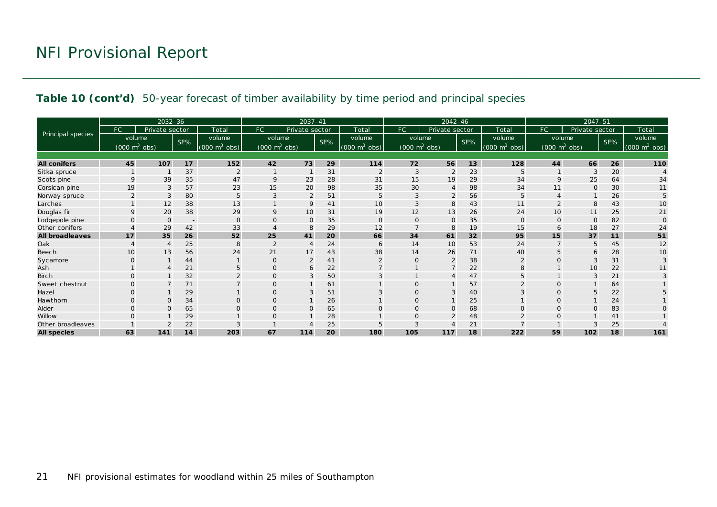#### **Table 10 (cont'd)** 50-year forecast of timber availability by time period and principal species

|                        |                                 | 2032-36        |                          |                                 |                                     | $2037 - 41$    |     |                             | 2042-46                             |                |     |                                 | $2047 - 51$                     |                |     |                                 |
|------------------------|---------------------------------|----------------|--------------------------|---------------------------------|-------------------------------------|----------------|-----|-----------------------------|-------------------------------------|----------------|-----|---------------------------------|---------------------------------|----------------|-----|---------------------------------|
|                        | FC                              | Private sector |                          | Total                           | <b>FC</b>                           | Private sector |     | Total                       | FC.                                 | Private sector |     | Total                           | FC                              | Private sector |     | Total                           |
| Principal species      | volume                          |                | SE%                      | volume                          | volume                              |                | SE% | volume                      | volume                              |                | SE% | volume                          |                                 | volume         | SE% | volume                          |
|                        | $(000 \text{ m}^3 \text{ obs})$ |                |                          | $(000 \text{ m}^3 \text{ obs})$ | $(000 \; \text{m}^3 \; \text{obs})$ |                |     | $(000 \text{ m}^3)$<br>obs) | $(000 \; \text{m}^3 \; \text{obs})$ |                |     | $(000 \text{ m}^3 \text{ obs})$ | $(000 \text{ m}^3 \text{ obs})$ |                |     | $(000 \text{ m}^3 \text{ obs})$ |
|                        |                                 |                |                          |                                 |                                     |                |     |                             |                                     |                |     |                                 |                                 |                |     |                                 |
| <b>All conifers</b>    | 45                              | 107            | 17                       | 152                             | 42                                  | 73             | 29  | 114                         | 72                                  | 56             | 13  | 128                             | 44                              | 66             | 26  | 110                             |
| Sitka spruce           |                                 |                | 37                       | $\overline{2}$                  |                                     |                | 31  | $\overline{2}$              | 3                                   | $\overline{2}$ | 23  | 5                               |                                 |                | 20  |                                 |
| Scots pine             | $\mathsf Q$                     | 39             | 35                       | 47                              | 9                                   | 23             | 28  | 31                          | 15                                  | 19             | 29  | 34                              | $\mathsf{Q}$                    | 25             | 64  | 34                              |
| Corsican pine          | 19                              | 3              | 57                       | 23                              | 15                                  | 20             | 98  | 35                          | 30                                  | $\overline{4}$ | 98  | 34                              | 11                              | $\mathbf{O}$   | 30  | 11                              |
| Norway spruce          |                                 | 3              | 80                       |                                 | 3                                   | $\overline{2}$ | 51  | 5                           |                                     | $\overline{2}$ | 56  |                                 |                                 |                | 26  | 5                               |
| Larches                |                                 | 12             | 38                       | 13                              |                                     | 9              | 41  | 10                          |                                     | 8              | 43  | 11                              |                                 | 8              | 43  | 10                              |
| Douglas fir            | 9                               | 20             | 38                       | 29                              | 9                                   | 10             | 31  | 19                          | 12                                  | 13             | 26  | 24                              | 10                              | 11             | 25  | 21                              |
| Lodgepole pine         | $\Omega$                        | $\Omega$       | $\overline{\phantom{a}}$ | $\mathbf{O}$                    | $\Omega$                            | $\mathbf 0$    | 35  | $\mathbf{O}$                | $\Omega$                            | $\mathbf 0$    | 35  | $\Omega$                        | $\mathbf 0$                     | $\Omega$       | 82  | $\Omega$                        |
| Other conifers         |                                 | 29             | 42                       | 33                              |                                     | 8              | 29  | 12                          |                                     | 8              | 19  | 15                              | 6                               | 18             | 27  | 24                              |
| <b>All broadleaves</b> | 17                              | 35             | 26                       | 52                              | 25                                  | 41             | 20  | 66                          | 34                                  | 61             | 32  | 95                              | 15                              | 37             | 11  | 51                              |
| Oak                    |                                 |                | 25                       | 8                               | 2                                   | $\overline{4}$ | 24  | 6                           | 14                                  | 10             | 53  | 24                              |                                 | 5              | 45  | 12                              |
| Beech                  | 10                              | 13             | 56                       | 24                              | 21                                  | 17             | 43  | 38                          | 14                                  | 26             | 71  | 40                              | 5                               | 6              | 28  | 10                              |
| Sycamore               | $\Omega$                        |                | 44                       |                                 | $\Omega$                            | 2              | 41  |                             |                                     | $\overline{2}$ | 38  |                                 | $\Omega$                        |                | 31  |                                 |
| Ash                    |                                 |                | 21                       |                                 | 0                                   | 6              | 22  | $\overline{7}$              |                                     | $\overline{7}$ | 22  |                                 |                                 | 10             | 22  | 11                              |
| Birch                  | $\Omega$                        |                | 32                       |                                 | $\mathbf 0$                         | 3              | 50  | 3                           |                                     | $\overline{4}$ | 47  | 5                               |                                 | 3              | 21  |                                 |
| Sweet chestnut         | $\Omega$                        |                | 71                       |                                 | $\mathbf{O}$                        |                | 61  |                             | $\Omega$                            |                | 57  |                                 | $\Omega$                        |                | 64  |                                 |
| Hazel                  | $\Omega$                        |                | 29                       |                                 | $\Omega$                            | 3              | 51  | 3                           |                                     | 3              | 40  |                                 | $\Omega$                        | 5              | 22  |                                 |
| Hawthorn               | $\Omega$                        | $\Omega$       | 34                       | $\Omega$                        | $\mathbf{O}$                        | $\mathbf{1}$   | 26  |                             | $\Omega$                            |                | 25  |                                 | $\Omega$                        |                | 24  |                                 |
| Alder                  | $\Omega$                        | $\Omega$       | 65                       | $\Omega$                        | $\mathbf 0$                         | $\mathbf{O}$   | 65  | $\mathbf{O}$                | Ω                                   | $\mathbf{O}$   | 68  |                                 | $\Omega$                        |                | 83  | O                               |
| Willow                 |                                 |                | 29                       |                                 | $\Omega$                            |                | 28  |                             |                                     | $\overline{2}$ | 48  |                                 | $\Omega$                        |                | 41  |                                 |
| Other broadleaves      |                                 |                | 22                       |                                 |                                     |                | 25  |                             |                                     |                | 21  |                                 |                                 |                | 25  |                                 |
| <b>All species</b>     | 63                              | 141            | 14                       | 203                             | 67                                  | 114            | 20  | 180                         | 105                                 | 117            | 18  | 222                             | 59                              | 102            | 18  | 161                             |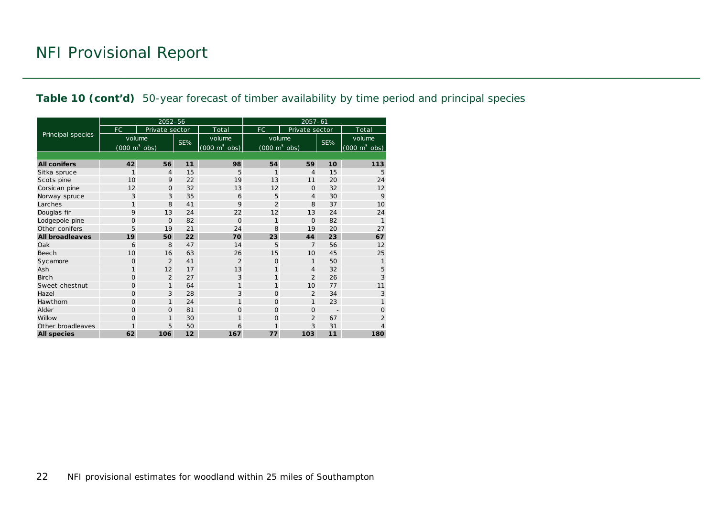#### **Table 10 (cont'd)** 50-year forecast of timber availability by time period and principal species

|                        |                                     | 2052-56        |     |                                 | $2057 - 61$                         |                |     |                                 |  |  |  |
|------------------------|-------------------------------------|----------------|-----|---------------------------------|-------------------------------------|----------------|-----|---------------------------------|--|--|--|
|                        | <b>FC</b>                           | Private sector |     | Total                           | FC.                                 | Private sector |     | Total                           |  |  |  |
| Principal species      | volume                              |                | SE% | volume                          | volume                              |                | SE% | volume                          |  |  |  |
|                        | $(000 \; \text{m}^3 \; \text{obs})$ |                |     | $(000 \text{ m}^3 \text{ obs})$ | $(000 \; \text{m}^3 \; \text{obs})$ |                |     | $(000 \text{ m}^3 \text{ obs})$ |  |  |  |
|                        |                                     |                |     |                                 |                                     |                |     |                                 |  |  |  |
| <b>All conifers</b>    | 42                                  | 56             | 11  | 98                              | 54                                  | 59             | 10  | 113                             |  |  |  |
| Sitka spruce           | 1                                   | $\overline{4}$ | 15  | 5                               | 1                                   | 4              | 15  | 5                               |  |  |  |
| Scots pine             | 10                                  | 9              | 22  | 19                              | 13                                  | 11             | 20  | 24                              |  |  |  |
| Corsican pine          | 12                                  | $\Omega$       | 32  | 13                              | 12                                  | $\Omega$       | 32  | 12                              |  |  |  |
| Norway spruce          | 3                                   | 3              | 35  | 6                               | 5                                   | 4              | 30  | 9                               |  |  |  |
| Larches                | $\mathbf{1}$                        | 8              | 41  | 9                               | $\overline{2}$                      | 8              | 37  | 10                              |  |  |  |
| Douglas fir            | 9                                   | 13             | 24  | 22                              | 12                                  | 13             | 24  | 24                              |  |  |  |
| Lodgepole pine         | $\circ$                             | $\Omega$       | 82  | $\Omega$                        | $\mathbf{1}$                        | $\Omega$       | 82  | $\mathbf{1}$                    |  |  |  |
| Other conifers         | 5                                   | 19             | 21  | 24                              | 8                                   | 19             | 20  | 27                              |  |  |  |
| <b>All broadleaves</b> | 19                                  | 50             | 22  | 70                              | 23                                  | 44             | 23  | 67                              |  |  |  |
| Oak                    | 6                                   | 8              | 47  | 14                              | 5                                   | $\overline{7}$ | 56  | 12                              |  |  |  |
| Beech                  | 10                                  | 16             | 63  | 26                              | 15                                  | 10             | 45  | 25                              |  |  |  |
| Sycamore               | $\Omega$                            | $\overline{2}$ | 41  | $\overline{2}$                  | $\Omega$                            | $\mathbf{1}$   | 50  | $\mathbf{1}$                    |  |  |  |
| Ash                    | $\mathbf{1}$                        | 12             | 17  | 13                              | 1                                   | $\overline{4}$ | 32  | 5                               |  |  |  |
| Birch                  | $\Omega$                            | 2              | 27  | 3                               | 1                                   | $\overline{2}$ | 26  | 3                               |  |  |  |
| Sweet chestnut         | $\Omega$                            | $\mathbf{1}$   | 64  | 1                               | 1                                   | 10             | 77  | 11                              |  |  |  |
| Hazel                  | $\Omega$                            | 3              | 28  | 3                               | $\Omega$                            | 2              | 34  | 3                               |  |  |  |
| Hawthorn               | $\Omega$                            | $\mathbf{1}$   | 24  | 1                               | $\Omega$                            | $\mathbf{1}$   | 23  | 1                               |  |  |  |
| Alder                  | $\Omega$                            | $\Omega$       | 81  | $\Omega$                        | $\Omega$                            | $\mathbf 0$    |     | $\Omega$                        |  |  |  |
| Willow                 | $\overline{O}$                      | $\mathbf{1}$   | 30  | $\mathbf{1}$                    | $\Omega$                            | $\overline{2}$ | 67  | $\overline{2}$                  |  |  |  |
| Other broadleaves      | $\mathbf{1}$                        | 5              | 50  | 6                               | 1                                   | 3              | 31  | 4                               |  |  |  |
| <b>All species</b>     | 62                                  | 106            | 12  | 167                             | 77                                  | 103            | 11  | 180                             |  |  |  |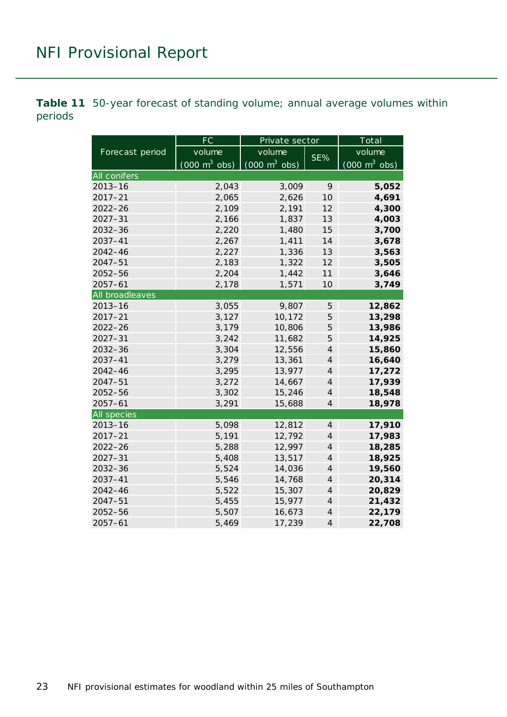<span id="page-22-0"></span>**Table 11** 50-year forecast of standing volume; annual average volumes within periods

|                    | FC                              | Private sector                  |                | Total                           |  |
|--------------------|---------------------------------|---------------------------------|----------------|---------------------------------|--|
| Forecast period    | volume                          | volume                          | SE%            | volume                          |  |
|                    | $(000 \text{ m}^3 \text{ obs})$ | $(000 \text{ m}^3 \text{ obs})$ |                | $(000 \text{ m}^3 \text{ obs})$ |  |
| All conifers       |                                 |                                 |                |                                 |  |
| $2013 - 16$        | 2,043                           | 3,009                           | 9              | 5,052                           |  |
| $2017 - 21$        | 2,065                           | 2,626                           | 10             | 4,691                           |  |
| $2022 - 26$        | 2,109                           | 2,191                           | 12             | 4,300                           |  |
| $2027 - 31$        | 2,166                           | 1,837                           | 13             | 4,003                           |  |
| $2032 - 36$        | 2,220                           | 1,480                           | 15             | 3,700                           |  |
| 2037-41            | 2,267                           | 1,411                           | 14             | 3,678                           |  |
| $2042 - 46$        | 2,227                           | 1,336                           | 13             | 3,563                           |  |
| 2047-51            | 2,183                           | 1,322                           | 12             | 3,505                           |  |
| 2052-56            | 2,204                           | 1,442                           | 11             | 3,646                           |  |
| $2057 - 61$        | 2,178                           | 1,571                           | 10             | 3,749                           |  |
| All broadleaves    |                                 |                                 |                |                                 |  |
| $2013 - 16$        | 3,055                           | 9,807                           | 5              | 12,862                          |  |
| $2017 - 21$        | 3,127                           | 10,172                          | 5              | 13,298                          |  |
| $2022 - 26$        | 3,179                           | 10,806                          | 5              | 13,986                          |  |
| $2027 - 31$        | 3,242                           | 11,682                          | 5              | 14,925                          |  |
| $2032 - 36$        | 3,304                           | 12,556                          | $\overline{4}$ | 15,860                          |  |
| 2037-41            | 3,279                           | 13,361                          | $\overline{4}$ | 16,640                          |  |
| $2042 - 46$        | 3,295                           | 13,977                          | $\overline{4}$ | 17,272                          |  |
| $2047 - 51$        | 3,272                           | 14,667                          | $\overline{4}$ | 17,939                          |  |
| 2052-56            | 3,302                           | 15,246                          | $\overline{4}$ | 18,548                          |  |
| $2057 - 61$        | 3,291                           | 15,688                          | $\overline{4}$ | 18,978                          |  |
| <b>All species</b> |                                 |                                 |                |                                 |  |
| $2013 - 16$        | 5,098                           | 12,812                          | $\overline{4}$ | 17,910                          |  |
| $2017 - 21$        | 5,191                           | 12,792                          | $\overline{4}$ | 17,983                          |  |
| $2022 - 26$        | 5,288                           | 12,997                          | $\overline{4}$ | 18,285                          |  |
| $2027 - 31$        | 5,408                           | 13,517                          | $\overline{4}$ | 18,925                          |  |
| 2032-36            | 5,524                           | 14,036                          | $\overline{4}$ | 19,560                          |  |
| 2037-41            | 5,546                           | 14,768                          | $\overline{4}$ | 20,314                          |  |
| $2042 - 46$        | 5,522                           | 15,307                          | $\overline{4}$ | 20,829                          |  |
| 2047-51            | 5,455                           | 15,977                          | $\overline{4}$ | 21,432                          |  |
| 2052-56            | 5,507                           | 16,673                          | $\overline{4}$ | 22,179                          |  |
| $2057 - 61$        | 5,469                           | 17,239                          | $\overline{4}$ | 22,708                          |  |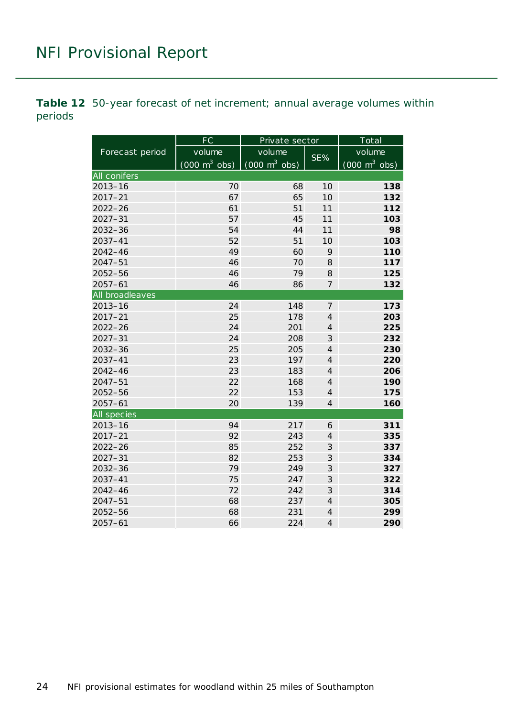<span id="page-23-0"></span>**Table 12** 50-year forecast of net increment; annual average volumes within periods

|                 | FC                              | Private sector                             |                | Total                           |  |
|-----------------|---------------------------------|--------------------------------------------|----------------|---------------------------------|--|
| Forecast period | volume                          | volume                                     |                | volume                          |  |
|                 | $(000 \text{ m}^3 \text{ obs})$ | $\overline{(000 \text{ m}^3 \text{ obs})}$ | SE%            | $(000 \text{ m}^3 \text{ obs})$ |  |
| All conifers    |                                 |                                            |                |                                 |  |
| $2013 - 16$     | 70                              | 68                                         | 10             | 138                             |  |
| $2017 - 21$     | 67                              | 65                                         | 10             | 132                             |  |
| $2022 - 26$     | 61                              | 51                                         | 11             | 112                             |  |
| $2027 - 31$     | 57                              | 45                                         | 11             | 103                             |  |
| $2032 - 36$     | 54                              | 44                                         | 11             | 98                              |  |
| 2037-41         | 52                              | 51                                         | 10             | 103                             |  |
| $2042 - 46$     | 49                              | 60                                         | 9              | 110                             |  |
| $2047 - 51$     | 46                              | 70                                         | 8              | 117                             |  |
| 2052-56         | 46                              | 79                                         | 8              | 125                             |  |
| $2057 - 61$     | 46                              | 86                                         | 7              | 132                             |  |
| All broadleaves |                                 |                                            |                |                                 |  |
| $2013 - 16$     | 24                              | 148                                        | $\overline{7}$ | 173                             |  |
| $2017 - 21$     | 25                              | 178                                        | $\overline{4}$ | 203                             |  |
| $2022 - 26$     | 24                              | 201                                        | $\overline{4}$ | 225                             |  |
| $2027 - 31$     | 24                              | 208                                        | 3              | 232                             |  |
| 2032-36         | 25                              | 205                                        | $\overline{A}$ | 230                             |  |
| 2037-41         | 23                              | 197                                        | $\overline{A}$ | 220                             |  |
| $2042 - 46$     | 23                              | 183                                        | $\overline{A}$ | 206                             |  |
| $2047 - 51$     | 22                              | 168                                        | $\overline{A}$ | 190                             |  |
| 2052-56         | 22                              | 153                                        | $\overline{A}$ | 175                             |  |
| $2057 - 61$     | 20                              | 139                                        | $\overline{4}$ | 160                             |  |
| All species     |                                 |                                            |                |                                 |  |
| $2013 - 16$     | 94                              | 217                                        | 6              | 311                             |  |
| $2017 - 21$     | 92                              | 243                                        | $\overline{4}$ | 335                             |  |
| 2022-26         | 85                              | 252                                        | 3              | 337                             |  |
| $2027 - 31$     | 82                              | 253                                        | $\mathfrak{Z}$ | 334                             |  |
| 2032-36         | 79                              | 249                                        | $\mathfrak{Z}$ | 327                             |  |
| 2037-41         | 75                              | 247                                        | 3              | 322                             |  |
| 2042-46         | 72                              | 242                                        | 3              | 314                             |  |
| 2047-51         | 68                              | 237                                        | $\overline{4}$ | 305                             |  |
| 2052-56         | 68                              | 231                                        | $\overline{4}$ | 299                             |  |
| $2057 - 61$     | 66                              | 224                                        | $\overline{4}$ | 290                             |  |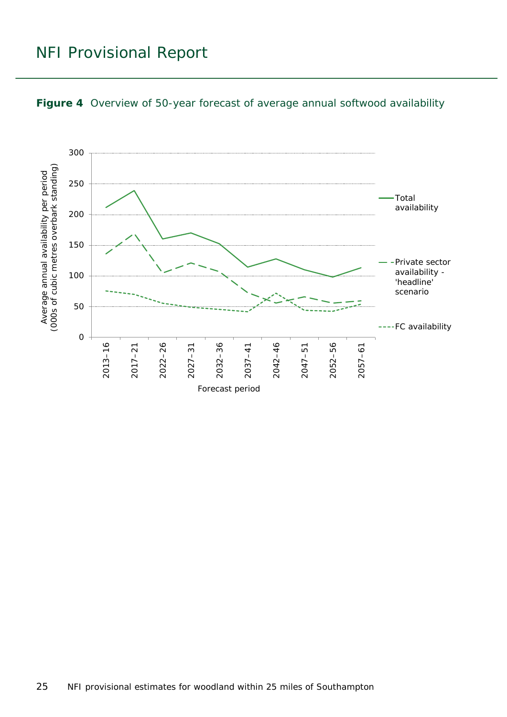

#### <span id="page-24-0"></span>**Figure 4** Overview of 50-year forecast of average annual softwood availability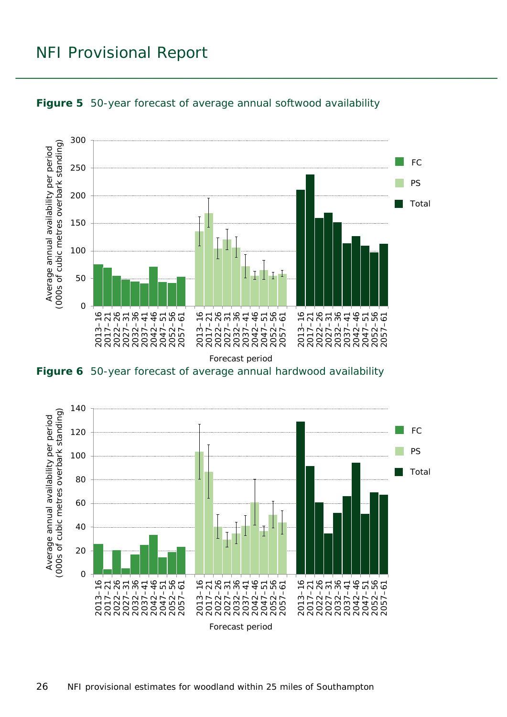

<span id="page-25-0"></span>

<span id="page-25-1"></span>**Figure 6** 50-year forecast of average annual hardwood availability

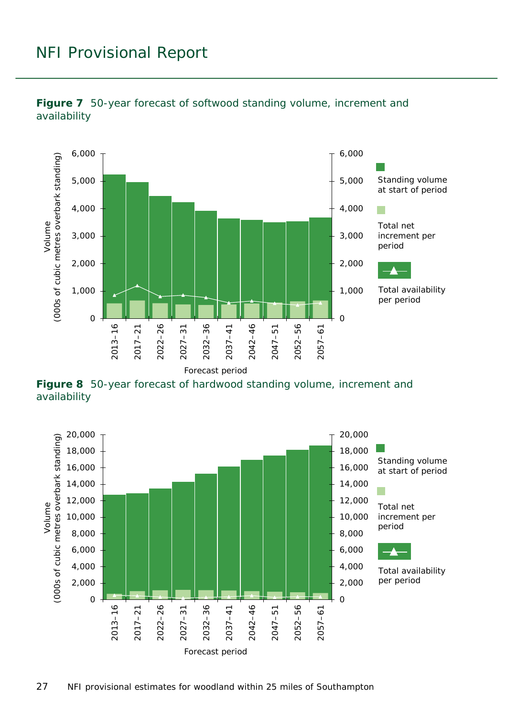

<span id="page-26-0"></span>

<span id="page-26-1"></span>**Figure 8** 50-year forecast of hardwood standing volume, increment and availability

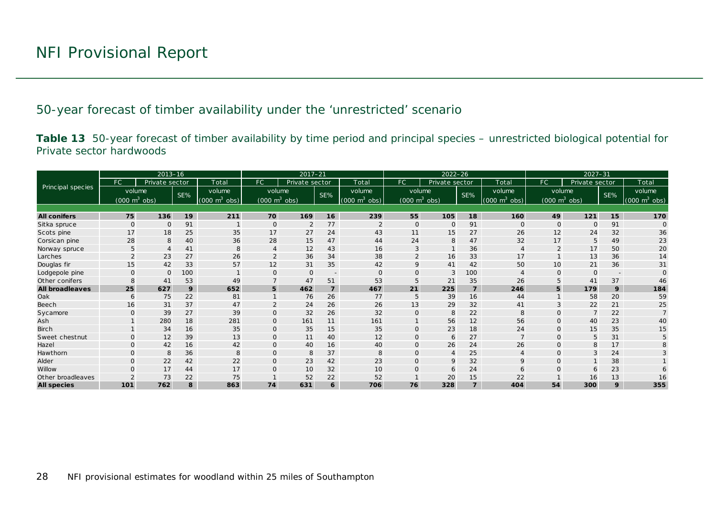50-year forecast of timber availability under the 'unrestricted' scenario

**Table 13** 50-year forecast of timber availability by time period and principal species – unrestricted biological potential for Private sector hardwoods

<span id="page-27-1"></span><span id="page-27-0"></span>

|                        |                                 | $2013 - 16$    |     |                               |                                 | $2017 - 21$    |                          |                                 |                                 | $2022 - 26$    |                |                                 |                | $2027 - 31$                     |                          |                                 |
|------------------------|---------------------------------|----------------|-----|-------------------------------|---------------------------------|----------------|--------------------------|---------------------------------|---------------------------------|----------------|----------------|---------------------------------|----------------|---------------------------------|--------------------------|---------------------------------|
|                        | FC                              | Private sector |     | Total                         | <b>FC</b>                       | Private sector |                          | Total                           | FC.                             | Private sector |                | Total                           | FC.            | Private sector                  |                          | Total                           |
| Principal species      | volume                          |                | SE% | volume                        | volume                          |                | SE%                      | volume                          | volume                          |                | SE%            | volume                          |                | volume                          | SE%                      | volume                          |
|                        | $(000 \text{ m}^3 \text{ obs})$ |                |     | $(000 \; \text{m}^3)$<br>obs) | $(000 \text{ m}^3 \text{ obs})$ |                |                          | $(000 \text{ m}^3 \text{ obs})$ | $(000 \text{ m}^3 \text{ obs})$ |                |                | $(000 \text{ m}^3 \text{ obs})$ |                | $(000 \text{ m}^3 \text{ obs})$ |                          | $(000 \text{ m}^3 \text{ obs})$ |
|                        |                                 |                |     |                               |                                 |                |                          |                                 |                                 |                |                |                                 |                |                                 |                          |                                 |
| <b>All conifers</b>    | 75                              | 136            | 19  | 211                           | 70                              | 169            | 16                       | 239                             | 55                              | 105            | 18             | 160                             | 49             | $121$                           | 15                       | 170                             |
| Sitka spruce           | $\mathbf{O}$                    | $\mathbf 0$    | 91  |                               | $\circ$                         | 2              | 77                       | 2                               | $\mathbf{O}$                    | $\mathbf{O}$   | 91             | $\mathbf{O}$                    | $\mathbf{O}$   | $\Omega$                        | 91                       | $\Omega$                        |
| Scots pine             | 17                              | 18             | 25  | 35                            | 17                              | 27             | 24                       | 43                              | 11                              | 15             | 27             | 26                              | 12             | 24                              | 32                       | 36                              |
| Corsican pine          | 28                              | 8              | 40  | 36                            | 28                              | 15             | 47                       | 44                              | 24                              | 8              | 47             | 32                              | 17             | 5                               | 49                       | 23                              |
| Norway spruce          | 5                               |                | 41  | 8                             |                                 | 12             | 43                       | 16                              | 3                               |                | 36             |                                 | $\overline{2}$ | 17                              | 50                       | 20                              |
| Larches                | $\mathcal{P}$                   | 23             | 27  | 26                            | $\overline{2}$                  | 36             | 34                       | 38                              | $\overline{2}$                  | 16             | 33             | 17                              |                | 13                              | 36                       | 14                              |
| Douglas fir            | 15                              | 42             | 33  | 57                            | 12                              | 31             | 35                       | 42                              | 9                               | 41             | 42             | 50                              | 10             | 21                              | 36                       | 31                              |
| Lodgepole pine         | $\Omega$                        | $\Omega$       | 100 |                               | $\mathbf{O}$                    | $\mathbf 0$    | $\overline{\phantom{a}}$ | $\Omega$                        | O                               | 3              | 100            |                                 | $\Omega$       | $\Omega$                        | $\overline{\phantom{a}}$ |                                 |
| Other conifers         | 8                               | 41             | 53  | 49                            |                                 | 47             | 51                       | 53                              | 5                               | 21             | 35             | 26                              |                | 41                              | 37                       | 46                              |
| <b>All broadleaves</b> | 25                              | 627            | 9   | 652                           | 5                               | 462            | $\overline{z}$           | 467                             | 21                              | 225            | $\overline{z}$ | 246                             | 5              | 179                             | 9                        | 184                             |
| Oak                    | 6                               | 75             | 22  | 81                            |                                 | 76             | 26                       | 77                              | 5                               | 39             | 16             | 44                              |                | 58                              | 20                       | 59                              |
| Beech                  | 16                              | 31             | 37  | 47                            | $\overline{2}$                  | 24             | 26                       | 26                              | 13                              | 29             | 32             | 41                              |                | 22                              | 21                       | 25                              |
| Sycamore               |                                 | 39             | 27  | 39                            | $\mathbf 0$                     | 32             | 26                       | 32                              | $\mathsf{O}$                    | 8              | 22             | 8                               |                |                                 | 22                       |                                 |
| Ash                    |                                 | 280            | 18  | 281                           | $\mathbf{O}$                    | 161            | 11                       | 161                             |                                 | 56             | 12             | 56                              | $\Omega$       | 40                              | 23                       | 40                              |
| <b>Birch</b>           |                                 | 34             | 16  | 35                            | $\mathbf 0$                     | 35             | 15                       | 35                              | 0                               | 23             | 18             | 24                              | $\mathbf{O}$   | 15                              | 35                       | 15                              |
| Sweet chestnut         | $\Omega$                        | 12             | 39  | 13                            | $\mathbf{O}$                    | 11             | 40                       | 12                              | $\Omega$                        | 6              | 27             |                                 | $\Omega$       | 5                               | 31                       |                                 |
| Hazel                  | $\Omega$                        | 42             | 16  | 42                            | $\mathbf{O}$                    | 40             | 16                       | 40                              | $\mathsf{O}$                    | 26             | 24             | 26                              | $\Omega$       | 8                               | 17                       |                                 |
| Hawthorn               | 0                               | 8              | 36  | 8                             | $\mathsf{O}$                    | 8              | 37                       | 8                               | 0                               | $\overline{4}$ | 25             | $\overline{4}$                  | $\mathbf 0$    | 3                               | 24                       |                                 |
| Alder                  | 0                               | 22             | 42  | 22                            | $\mathbf{O}$                    | 23             | 42                       | 23                              | O                               | 9              | 32             | 9                               | $\Omega$       |                                 | 38                       |                                 |
| Willow                 |                                 | 17             | 44  | 17                            | $\Omega$                        | 10             | 32                       | 10                              | $\Omega$                        | 6              | 24             | 6                               |                | 6                               | 23                       |                                 |
| Other broadleaves      |                                 | 73             | 22  | 75                            |                                 | 52             | 22                       | 52                              |                                 | 20             | 15             | 22                              |                | 16                              | 13                       | 16                              |
| <b>All species</b>     | 101                             | 762            | 8   | 863                           | 74                              | 631            | 6                        | 706                             | 76                              | 328            | $\overline{z}$ | 404                             | 54             | 300                             | 9                        | 355                             |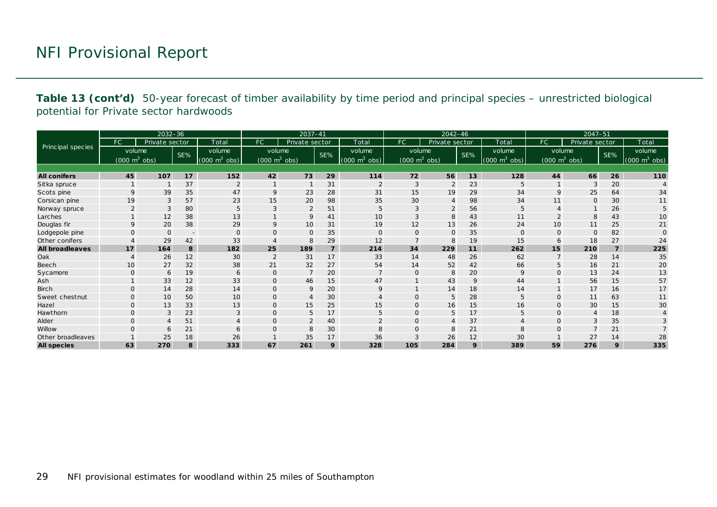**Table 13 (cont'd)** 50-year forecast of timber availability by time period and principal species – unrestricted biological potential for Private sector hardwoods

|                        |                                 | $2032 - 36$    |                          |                             |                                 | $2037 - 41$    |                |                                 |                                 | $2042 - 46$    |     |                                     |              | $2047 - 51$                     |                |                                     |
|------------------------|---------------------------------|----------------|--------------------------|-----------------------------|---------------------------------|----------------|----------------|---------------------------------|---------------------------------|----------------|-----|-------------------------------------|--------------|---------------------------------|----------------|-------------------------------------|
|                        | FC.                             | Private sector |                          | Total                       | FC                              | Private sector |                | Total                           | FC.                             | Private sector |     | Total                               | FC.          | Private sector                  |                | Total                               |
| Principal species      | volume                          |                | SE%                      | volume                      | volume                          |                | SE%            | volume                          | volume                          |                | SE% | volume                              | volume       |                                 | SE%            | volume                              |
|                        | $(000 \text{ m}^3 \text{ obs})$ |                |                          | $(000 \text{ m}^3)$<br>obs) | $(000 \text{ m}^3 \text{ obs})$ |                |                | $(000 \text{ m}^3 \text{ obs})$ | $(000 \text{ m}^3 \text{ obs})$ |                |     | $(000 \; \text{m}^3 \; \text{obs})$ |              | $(000 \text{ m}^3 \text{ obs})$ |                | $(000 \; \text{m}^3 \; \text{obs})$ |
|                        |                                 |                |                          |                             |                                 |                |                |                                 |                                 |                |     |                                     |              |                                 |                |                                     |
| <b>All conifers</b>    | 45                              | 107            | 17                       | 152                         | 42                              | 73             | 29             | 114                             | 72                              | 56             | 13  | 128                                 | 44           | 66                              | 26             | 110                                 |
| Sitka spruce           |                                 |                | 37                       |                             |                                 |                | 31             | $\overline{2}$                  | 3                               | $\overline{2}$ | 23  | 5                                   |              | 3                               | 20             |                                     |
| Scots pine             | $\mathbf Q$                     | 39             | 35                       | 47                          | 9                               | 23             | 28             | 31                              | 15                              | 19             | 29  | 34                                  | 9            | 25                              | 64             | 34                                  |
| Corsican pine          | 19                              | 3              | 57                       | 23                          | 15                              | 20             | 98             | 35                              | 30                              | $\overline{4}$ | 98  | 34                                  | 11           | $\Omega$                        | 30             | 11                                  |
| Norway spruce          |                                 | 3              | 80                       | 5                           | 3                               | $\overline{2}$ | 51             | 5                               | 3                               | $\overline{2}$ | 56  | 5                                   |              |                                 | 26             |                                     |
| Larches                |                                 | 12             | 38                       | 13                          |                                 | 9              | 41             | 10                              | 3                               | 8              | 43  | 11                                  |              | 8                               | 43             | 10                                  |
| Douglas fir            | 9                               | 20             | 38                       | 29                          | 9                               | 10             | 31             | 19                              | 12                              | 13             | 26  | 24                                  | 10           | 11                              | 25             | 21                                  |
| Lodgepole pine         | $\Omega$                        | $\Omega$       | $\overline{\phantom{a}}$ | $\mathbf{O}$                | $\mathbf 0$                     | $\mathsf{O}$   | 35             | $\mathbf 0$                     | O                               | $\mathbf{O}$   | 35  | $\mathbf{0}$                        | $\mathbf{O}$ | $\mathbf{O}$                    | 82             | $\Omega$                            |
| Other conifers         |                                 | 29             | 42                       | 33                          |                                 | 8              | 29             | 12                              |                                 | 8              | 19  | 15                                  | 6            | 18                              | 27             | 24                                  |
| <b>All broadleaves</b> | 17                              | 164            | 8                        | 182                         | 25                              | 189            | $\overline{z}$ | 214                             | 34                              | 229            | 11  | 262                                 | 15           | 210                             | $\overline{z}$ | 225                                 |
| Oak                    |                                 | 26             | 12                       | 30                          | $\overline{2}$                  | 31             | 17             | 33                              | 14                              | 48             | 26  | 62                                  |              | 28                              | 14             | 35                                  |
| Beech                  | 10                              | 27             | 32                       | 38                          | 21                              | 32             | 27             | 54                              | 14                              | 52             | 42  | 66                                  |              | 16                              | 21             | 20                                  |
| Sycamore               | $\Omega$                        | 6              | 19                       | 6                           | $\mathbf 0$                     | $\overline{7}$ | 20             | $\overline{7}$                  | $\Omega$                        | 8              | 20  | 9                                   | $\Omega$     | 13                              | 24             | 13                                  |
| Ash                    |                                 | 33             | 12                       | 33                          | $\mathbf 0$                     | 46             | 15             | 47                              |                                 | 43             | 9   | 44                                  |              | 56                              | 15             | 57                                  |
| <b>Birch</b>           | $\mathbf{O}$                    | 14             | 28                       | 14                          | $\mathbf 0$                     | 9              | 20             | 9                               |                                 | 14             | 18  | 14                                  |              | 17                              | 16             | 17                                  |
| Sweet chestnut         | $\Omega$                        | 10             | 50                       | 10                          | $\mathbf 0$                     | $\overline{4}$ | 30             |                                 | 0                               | 5              | 28  | 5                                   | $\mathbf{O}$ | 11                              | 63             | 11                                  |
| Hazel                  | $\Omega$                        | 13             | 33                       | 13                          | $\overline{O}$                  | 15             | 25             | 15                              | $\mathsf{O}$                    | 16             | 15  | 16                                  | $\mathbf{O}$ | 30                              | 15             | 30                                  |
| Hawthorn               | $\Omega$                        | 3              | 23                       | 3                           | $\mathbf 0$                     | 5              | 17             | 5                               | 0                               | 5              | 17  | 5                                   | $\mathbf{O}$ | $\overline{4}$                  | 18             |                                     |
| Alder                  | $\Omega$                        |                | 51                       |                             | $\Omega$                        | $\overline{2}$ | 40             |                                 | $\Omega$                        | $\overline{A}$ | 37  |                                     | $\Omega$     | 3                               | 35             |                                     |
| Willow                 | $\Omega$                        | 6              | 21                       |                             | $\mathbf 0$                     | 8              | 30             | 8                               | 0                               | 8              | 21  | 8                                   | $\Omega$     | $\overline{7}$                  | 21             |                                     |
| Other broadleaves      |                                 | 25             | 18                       | 26                          | $\mathbf{1}$                    | 35             | 17             | 36                              | 3                               | 26             | 12  | 30                                  |              | 27                              | 14             | 28                                  |
| <b>All species</b>     | 63                              | 270            | 8                        | 333                         | 67                              | 261            | 9              | 328                             | 105                             | 284            | 9   | 389                                 | 59           | 276                             | 9              | 335                                 |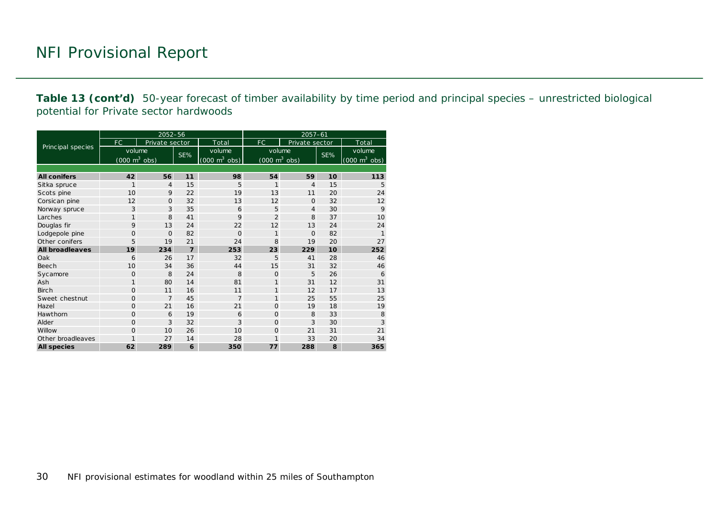**Table 13 (cont'd)** 50-year forecast of timber availability by time period and principal species – unrestricted biological potential for Private sector hardwoods

|                        |                                     | 2052-56        |                |                                     | $2057 - 61$                         |                |     |                                 |  |  |
|------------------------|-------------------------------------|----------------|----------------|-------------------------------------|-------------------------------------|----------------|-----|---------------------------------|--|--|
|                        | FC                                  | Private sector |                | Total                               | FC                                  | Private sector |     | Total                           |  |  |
| Principal species      | volume                              |                | SE%            | volume                              | volume                              |                |     | volume                          |  |  |
|                        | $(000 \; \text{m}^3 \; \text{obs})$ |                |                | $(000 \; \text{m}^3 \; \text{obs})$ | $(000 \; \text{m}^3 \; \text{obs})$ |                | SE% | $(000 \text{ m}^3 \text{ obs})$ |  |  |
|                        |                                     |                |                |                                     |                                     |                |     |                                 |  |  |
| <b>All conifers</b>    | 42                                  | 56             | 11             | 98                                  | 54                                  | 59             | 10  | 113                             |  |  |
| Sitka spruce           | 1                                   | 4              | 15             | 5                                   | 1                                   | 4              | 15  | 5                               |  |  |
| Scots pine             | 10                                  | 9              | 22             | 19                                  | 13                                  | 11             | 20  | 24                              |  |  |
| Corsican pine          | 12                                  | $\Omega$       | 32             | 13                                  | 12                                  | $\Omega$       | 32  | 12                              |  |  |
| Norway spruce          | 3                                   | 3              | 35             | 6                                   | 5                                   | 4              | 30  | 9                               |  |  |
| Larches                | 1                                   | 8              | 41             | 9                                   | $\overline{2}$                      | 8              | 37  | 10                              |  |  |
| Douglas fir            | 9                                   | 13             | 24             | 22                                  | 12                                  | 13             | 24  | 24                              |  |  |
| Lodgepole pine         | $\mathbf{O}$                        | $\mathbf 0$    | 82             | $\Omega$                            | 1                                   | $\Omega$       | 82  | $\mathbf{1}$                    |  |  |
| Other conifers         | 5                                   | 19             | 21             | 24                                  | 8                                   | 19             | 20  | 27                              |  |  |
| <b>All broadleaves</b> | 19                                  | 234            | $\overline{z}$ | 253                                 | 23                                  | 229            | 10  | 252                             |  |  |
| Oak                    | 6                                   | 26             | 17             | 32                                  | 5                                   | 41             | 28  | 46                              |  |  |
| <b>Beech</b>           | 10                                  | 34             | 36             | 44                                  | 15                                  | 31             | 32  | 46                              |  |  |
| Sycamore               | $\Omega$                            | 8              | 24             | 8                                   | $\Omega$                            | 5              | 26  | 6                               |  |  |
| Ash                    | 1                                   | 80             | 14             | 81                                  | 1                                   | 31             | 12  | 31                              |  |  |
| <b>Birch</b>           | $\Omega$                            | 11             | 16             | 11                                  | 1                                   | 12             | 17  | 13                              |  |  |
| Sweet chestnut         | $\Omega$                            | $\overline{7}$ | 45             | $\overline{7}$                      | 1                                   | 25             | 55  | 25                              |  |  |
| Hazel                  | $\Omega$                            | 21             | 16             | 21                                  | $\Omega$                            | 19             | 18  | 19                              |  |  |
| Hawthorn               | $\Omega$                            | 6              | 19             | 6                                   | $\Omega$                            | 8              | 33  | 8                               |  |  |
| Alder                  | $\overline{O}$                      | 3              | 32             | 3                                   | $\Omega$                            | 3              | 30  | 3                               |  |  |
| Willow                 | $\Omega$                            | 10             | 26             | 10                                  | $\Omega$                            | 21             | 31  | 21                              |  |  |
| Other broadleaves      | 1                                   | 27             | 14             | 28                                  | 1                                   | 33             | 20  | 34                              |  |  |
| <b>All species</b>     | 62                                  | 289            | 6              | 350                                 | 77                                  | 288            | 8   | 365                             |  |  |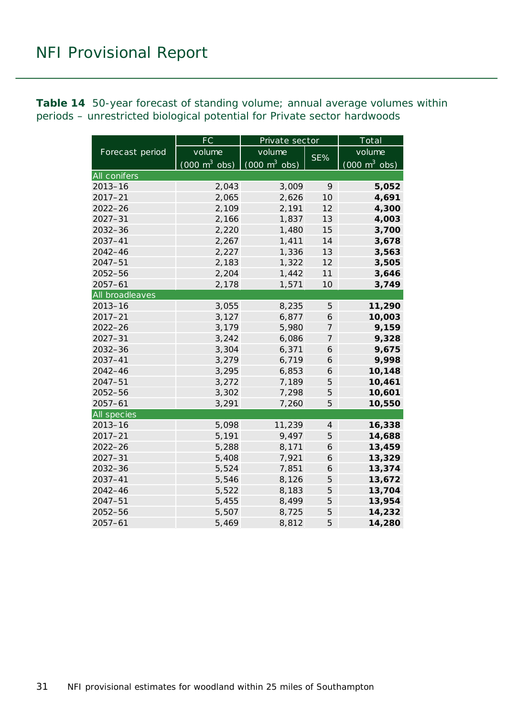<span id="page-30-0"></span>**Table 14** 50-year forecast of standing volume; annual average volumes within periods – unrestricted biological potential for Private sector hardwoods

|                    | FC                              | Private sector                      |                               | Total                           |  |  |
|--------------------|---------------------------------|-------------------------------------|-------------------------------|---------------------------------|--|--|
| Forecast period    | volume                          | volume                              |                               | volume                          |  |  |
|                    | $(000 \text{ m}^3 \text{ obs})$ | $(000 \; \text{m}^3 \; \text{obs})$ | SE%                           | $(000 \text{ m}^3 \text{ obs})$ |  |  |
| All conifers       |                                 |                                     |                               |                                 |  |  |
| $2013 - 16$        | 2,043                           | 3,009                               | 9                             | 5,052                           |  |  |
| $2017 - 21$        | 2,065                           | 2,626                               | 10                            | 4,691                           |  |  |
| $2022 - 26$        | 2,109                           | 2,191                               | 12                            | 4,300                           |  |  |
| $2027 - 31$        | 2,166                           | 1,837                               | 13                            | 4,003                           |  |  |
| $2032 - 36$        | 2,220                           | 1,480                               | 15                            | 3,700                           |  |  |
| 2037-41            | 2,267                           | 1,411                               | 14                            | 3,678                           |  |  |
| $2042 - 46$        | 2,227                           | 1,336                               | 13                            | 3,563                           |  |  |
| $2047 - 51$        | 2,183                           | 1,322                               | 12                            | 3,505                           |  |  |
| 2052-56            | 2,204                           | 1,442                               | 11                            | 3,646                           |  |  |
| $2057 - 61$        | 2,178                           | 1,571                               | 10                            | 3,749                           |  |  |
| All broadleaves    |                                 |                                     |                               |                                 |  |  |
| $2013 - 16$        | 3,055                           | 8,235                               | 5                             | 11,290                          |  |  |
| $2017 - 21$        | 3,127                           | 6,877                               | 6                             | 10,003                          |  |  |
| $2022 - 26$        | 3,179                           | 5,980                               | $\overline{7}$                | 9,159                           |  |  |
| $2027 - 31$        | 3,242                           | 6,086                               | 7                             | 9,328                           |  |  |
| 2032-36            | 3,304                           | 6,371                               | 6                             | 9,675                           |  |  |
| $2037 - 41$        | 3,279                           | 6,719                               | 6                             | 9,998                           |  |  |
| 2042-46            | 3,295                           | 6,853                               | 6                             | 10,148                          |  |  |
| $2047 - 51$        | 3,272                           | 7,189                               | 5                             | 10,461                          |  |  |
| 2052-56            | 3,302                           | 7,298                               | 5                             | 10,601                          |  |  |
| $2057 - 61$        | 3,291                           | 7,260                               | 5                             | 10,550                          |  |  |
| <b>All species</b> |                                 |                                     |                               |                                 |  |  |
| $2013 - 16$        | 5,098                           | 11,239                              | $\ensuremath{\mathnormal{4}}$ | 16,338                          |  |  |
| $2017 - 21$        | 5,191                           | 9,497                               | 5                             | 14,688                          |  |  |
| $2022 - 26$        | 5,288                           | 8,171                               | 6                             | 13,459                          |  |  |
| $2027 - 31$        | 5,408                           | 7,921                               | 6                             | 13,329                          |  |  |
| 2032-36            | 5,524                           | 7,851                               | 6                             | 13,374                          |  |  |
| 2037-41            | 5,546                           | 8,126                               | 5                             | 13,672                          |  |  |
| $2042 - 46$        | 5,522                           | 8,183                               | 5                             | 13,704                          |  |  |
| $2047 - 51$        | 5,455                           | 8,499                               | 5                             | 13,954                          |  |  |
| 2052-56            | 5,507                           | 8,725                               | 5                             | 14,232                          |  |  |
| $2057 - 61$        | 5,469                           | 8,812                               | 5                             | 14,280                          |  |  |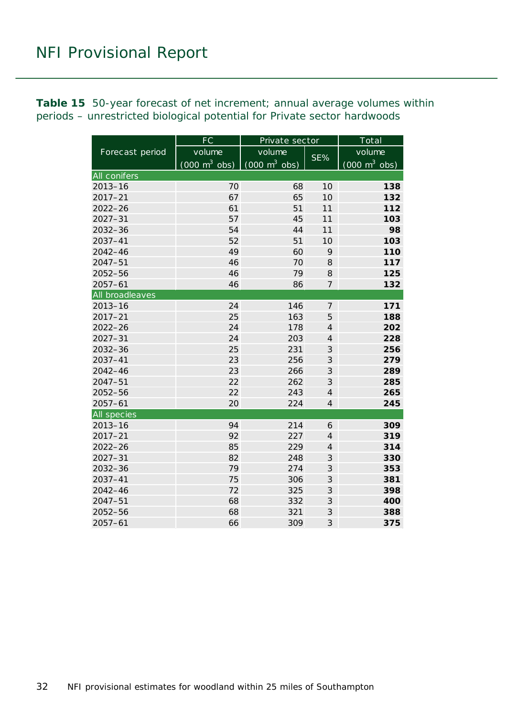<span id="page-31-0"></span>**Table 15** 50-year forecast of net increment; annual average volumes within periods – unrestricted biological potential for Private sector hardwoods

|                     | FC                              | Private sector                  |                  | Total                           |  |  |
|---------------------|---------------------------------|---------------------------------|------------------|---------------------------------|--|--|
| Forecast period     | volume                          | volume                          |                  | volume                          |  |  |
|                     | $(000 \text{ m}^3 \text{ obs})$ | $(000 \text{ m}^3 \text{ obs})$ | SE%              | $(000 \text{ m}^3 \text{ obs})$ |  |  |
| <b>All conifers</b> |                                 |                                 |                  |                                 |  |  |
| $2013 - 16$         | 70                              | 68                              | 10               | 138                             |  |  |
| $2017 - 21$         | 67                              | 65                              | 10               | 132                             |  |  |
| $2022 - 26$         | 61                              | 51                              | 11               | 112                             |  |  |
| $2027 - 31$         | 57                              | 45                              | 11               | 103                             |  |  |
| $2032 - 36$         | 54                              | 44                              | 11               | 98                              |  |  |
| 2037-41             | 52                              | 51                              | 10               | 103                             |  |  |
| 2042-46             | 49                              | 60                              | 9                | 110                             |  |  |
| $2047 - 51$         | 46                              | 70                              | 8                | 117                             |  |  |
| 2052-56             | 46                              | 79                              | 8                | 125                             |  |  |
| $2057 - 61$         | 46                              | 86                              | $\overline{7}$   | 132                             |  |  |
| All broadleaves     |                                 |                                 |                  |                                 |  |  |
| $2013 - 16$         | 24                              | 146                             | $\boldsymbol{7}$ | 171                             |  |  |
| $2017 - 21$         | 25                              | 163                             | 5                | 188                             |  |  |
| $2022 - 26$         | 24                              | 178                             | $\overline{4}$   | 202                             |  |  |
| $2027 - 31$         | 24                              | 203                             | $\overline{4}$   | 228                             |  |  |
| $2032 - 36$         | 25                              | 231                             | 3                | 256                             |  |  |
| 2037-41             | 23                              | 256                             | 3                | 279                             |  |  |
| $2042 - 46$         | 23                              | 266                             | 3                | 289                             |  |  |
| $2047 - 51$         | 22                              | 262                             | 3                | 285                             |  |  |
| $2052 - 56$         | 22                              | 243                             | $\overline{4}$   | 265                             |  |  |
| $2057 - 61$         | 20                              | 224                             | $\overline{4}$   | 245                             |  |  |
| All species         |                                 |                                 |                  |                                 |  |  |
| $2013 - 16$         | 94                              | 214                             | 6                | 309                             |  |  |
| $2017 - 21$         | 92                              | 227                             | $\overline{4}$   | 319                             |  |  |
| $2022 - 26$         | 85                              | 229                             | $\overline{4}$   | 314                             |  |  |
| $2027 - 31$         | 82                              | 248                             | $\mathcal{S}$    | 330                             |  |  |
| 2032-36             | 79                              | 274                             | $\mathfrak{Z}$   | 353                             |  |  |
| $2037 - 41$         | 75                              | 306                             | $\mathfrak{Z}$   | 381                             |  |  |
| 2042-46             | 72                              | 325                             | 3                | 398                             |  |  |
| $2047 - 51$         | 68                              | 332                             | $\mathfrak{Z}$   | 400                             |  |  |
| 2052-56             | 68                              | 321                             | 3                | 388                             |  |  |
| $2057 - 61$         | 66                              | 309                             | 3                | 375                             |  |  |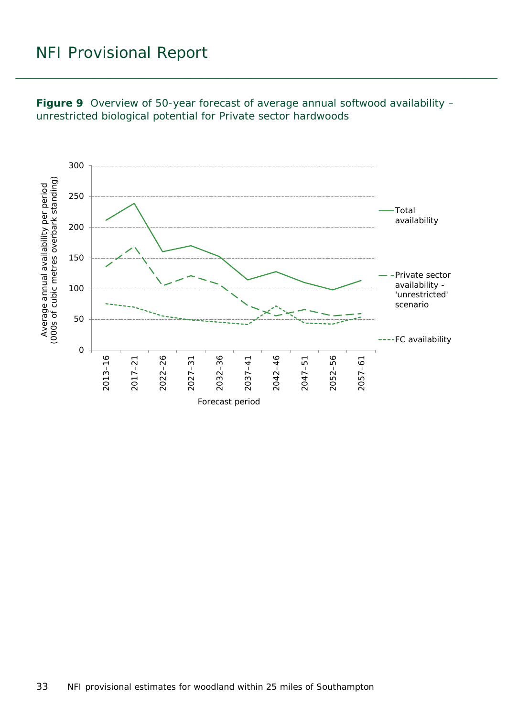<span id="page-32-0"></span>

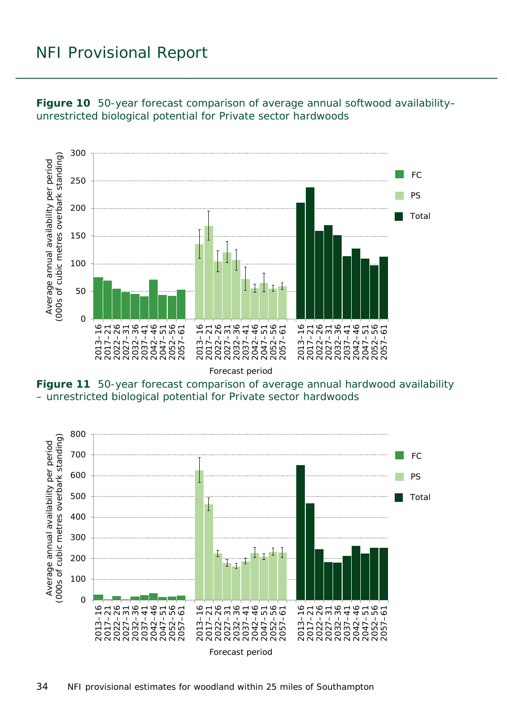

<span id="page-33-0"></span>**Figure 10** 50-year forecast comparison of average annual softwood availability– unrestricted biological potential for Private sector hardwoods

Forecast period

<span id="page-33-1"></span>**Figure 11** 50-year forecast comparison of average annual hardwood availability – unrestricted biological potential for Private sector hardwoods

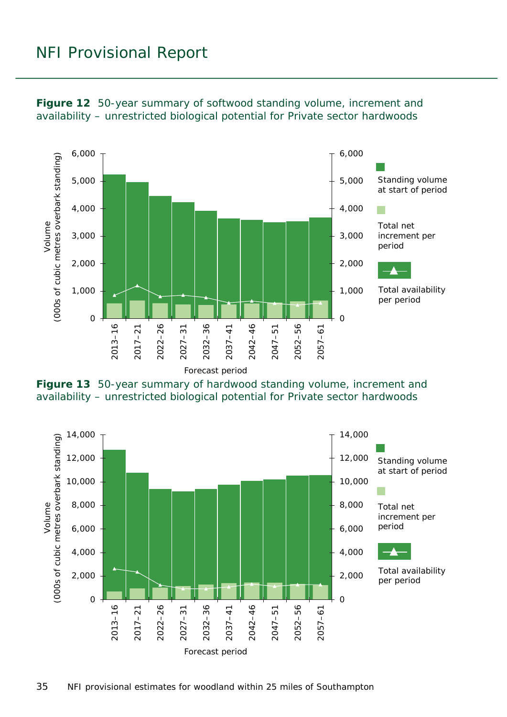

<span id="page-34-0"></span>

<span id="page-34-1"></span>

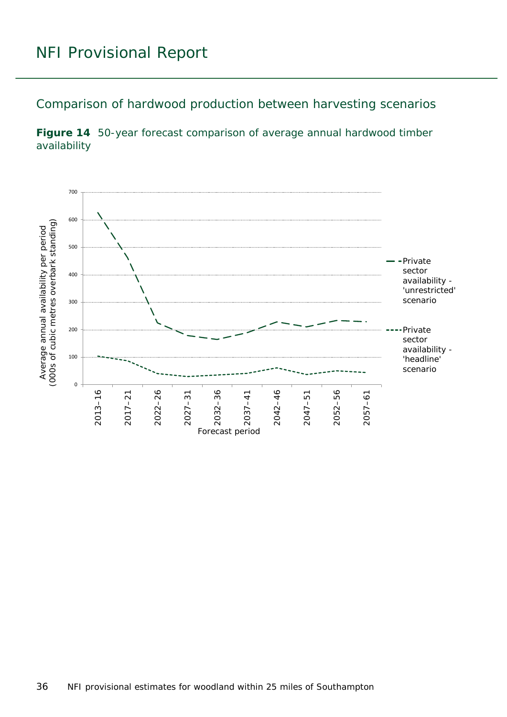<span id="page-35-0"></span>Comparison of hardwood production between harvesting scenarios

<span id="page-35-1"></span>

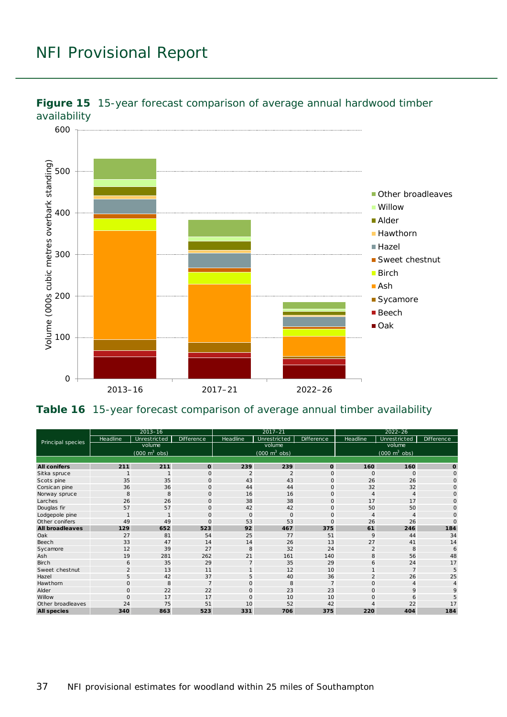

<span id="page-36-0"></span>![](_page_36_Figure_2.jpeg)

#### <span id="page-36-1"></span>**Table 16** 15-year forecast comparison of average annual timber availability

| Principal species      | $2013 - 16$    |                                 |                   | $2017 - 21$    |                                     |                   | $2022 - 26$                 |                                 |                   |
|------------------------|----------------|---------------------------------|-------------------|----------------|-------------------------------------|-------------------|-----------------------------|---------------------------------|-------------------|
|                        | Headline       | Unrestricted                    | <b>Difference</b> | Headline       | Unrestricted                        | <b>Difference</b> | Headline                    | Unrestricted                    | <b>Difference</b> |
|                        | volume         |                                 |                   | volume         |                                     |                   | volume                      |                                 |                   |
|                        |                | $(000 \text{ m}^3 \text{ obs})$ |                   |                | $(000 \; \text{m}^3 \; \text{obs})$ |                   |                             | $(000 \text{ m}^3 \text{ obs})$ |                   |
|                        |                |                                 |                   |                |                                     |                   |                             |                                 |                   |
| <b>All conifers</b>    | 211            | 211                             | $\mathbf 0$       | 239            | 239                                 | $\mathbf{o}$      | 160                         | 160                             | $\mathbf{o}$      |
| Sitka spruce           |                |                                 | $\circ$           | $\overline{2}$ | $\overline{2}$                      | $\mathsf{O}$      | $\Omega$                    | $\Omega$                        | $\mathbf 0$       |
| Scots pine             | 35             | 35                              | $\Omega$          | 43             | 43                                  | $\mathbf{O}$      | 26                          | 26                              | $\circ$           |
| Corsican pine          | 36             | 36                              | $\mathbf{O}$      | 44             | 44                                  | $\mathsf{O}$      | 32                          | 32                              | $\Omega$          |
| Norway spruce          | 8              | 8                               | $\mathbf{O}$      | 16             | 16                                  | $\mathsf{O}$      | $\boldsymbol{\vartriangle}$ | $\overline{4}$                  | $\Omega$          |
| Larches                | 26             | 26                              | $\Omega$          | 38             | 38                                  | $\mathbf{O}$      | 17                          | 17                              | $\Omega$          |
| Douglas fir            | 57             | 57                              | $\circ$           | 42             | 42                                  | $\mathsf{O}$      | 50                          | 50                              | $\circ$           |
| Lodgepole pine         |                | $\mathbf{1}$                    | $\mathbf{O}$      | $\mathbf{O}$   | $\circ$                             | $\mathsf{O}$      | $\overline{4}$              | $\overline{4}$                  | $\Omega$          |
| Other conifers         | 49             | 49                              | $\Omega$          | 53             | 53                                  | $\mathbf{O}$      | 26                          | 26                              | $\Omega$          |
| <b>All broadleaves</b> | 129            | 652                             | 523               | 92             | 467                                 | 375               | 61                          | 246                             | 184               |
| Oak                    | 27             | 81                              | 54                | 25             | 77                                  | 51                | 9                           | 44                              | 34                |
| Beech                  | 33             | 47                              | 14                | 14             | 26                                  | 13                | 27                          | 41                              | 14                |
| Sycamore               | 12             | 39                              | 27                | 8              | 32                                  | 24                | $\overline{2}$              | 8                               | 6                 |
| Ash                    | 19             | 281                             | 262               | 21             | 161                                 | 140               | 8                           | 56                              | 48                |
| <b>Birch</b>           | 6              | 35                              | 29                | $\overline{7}$ | 35                                  | 29                | 6                           | 24                              | 17                |
| Sweet chestnut         | $\overline{2}$ | 13                              | 11                | $\mathbf{1}$   | 12                                  | 10                |                             | $\overline{7}$                  | 5                 |
| Hazel                  | 5              | 42                              | 37                | 5              | 40                                  | 36                | $\overline{2}$              | 26                              | 25                |
| Hawthorn               | $\mathsf{O}$   | 8                               | $\overline{7}$    | $\mathbf{O}$   | 8                                   | $\overline{7}$    | $\circ$                     | 4                               | 4                 |
| Alder                  | $\mathsf{O}$   | 22                              | 22                | $\mathbf{O}$   | 23                                  | 23                | $\Omega$                    | 9                               | 9                 |
| Willow                 | $\overline{O}$ | 17                              | 17                | $\mathbf 0$    | 10                                  | 10                | $\Omega$                    | 6                               |                   |
| Other broadleaves      | 24             | 75                              | 51                | 10             | 52                                  | 42                |                             | 22                              | 17                |
| <b>All species</b>     | 340            | 863                             | 523               | 331            | 706                                 | 375               | 220                         | 404                             | 184               |